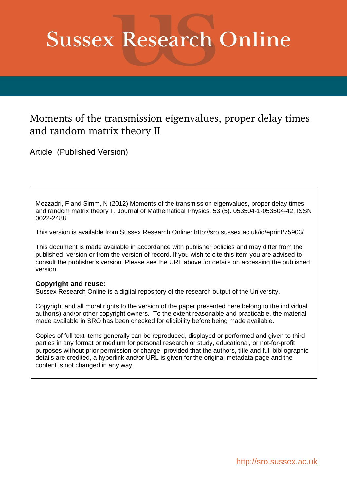# **Sussex Research Online**

## Moments of the transmission eigenvalues, proper delay times and random matrix theory II

Article (Published Version)

Mezzadri, F and Simm, N (2012) Moments of the transmission eigenvalues, proper delay times and random matrix theory II. Journal of Mathematical Physics, 53 (5). 053504-1-053504-42. ISSN 0022-2488

This version is available from Sussex Research Online: http://sro.sussex.ac.uk/id/eprint/75903/

This document is made available in accordance with publisher policies and may differ from the published version or from the version of record. If you wish to cite this item you are advised to consult the publisher's version. Please see the URL above for details on accessing the published version.

## **Copyright and reuse:**

Sussex Research Online is a digital repository of the research output of the University.

Copyright and all moral rights to the version of the paper presented here belong to the individual author(s) and/or other copyright owners. To the extent reasonable and practicable, the material made available in SRO has been checked for eligibility before being made available.

Copies of full text items generally can be reproduced, displayed or performed and given to third parties in any format or medium for personal research or study, educational, or not-for-profit purposes without prior permission or charge, provided that the authors, title and full bibliographic details are credited, a hyperlink and/or URL is given for the original metadata page and the content is not changed in any way.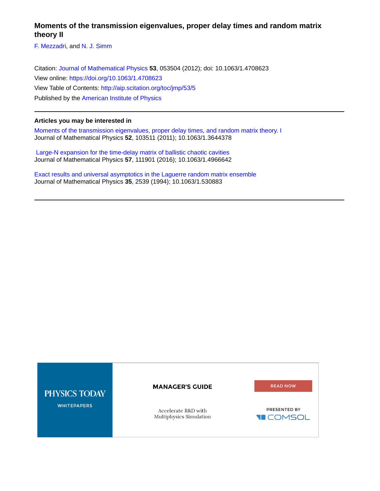## **Moments of the transmission eigenvalues, proper delay times and random matrix theory II**

[F. Mezzadri,](http://aip.scitation.org/author/Mezzadri%2C+F) and [N. J. Simm](http://aip.scitation.org/author/Simm%2C+N+J)

Citation: [Journal of Mathematical Physics](/loi/jmp) **53**, 053504 (2012); doi: 10.1063/1.4708623 View online: <https://doi.org/10.1063/1.4708623> View Table of Contents: <http://aip.scitation.org/toc/jmp/53/5> Published by the [American Institute of Physics](http://aip.scitation.org/publisher/)

## **Articles you may be interested in**

[Moments of the transmission eigenvalues, proper delay times, and random matrix theory. I](http://aip.scitation.org/doi/abs/10.1063/1.3644378) Journal of Mathematical Physics **52**, 103511 (2011); 10.1063/1.3644378

 [Large-N expansion for the time-delay matrix of ballistic chaotic cavities](http://aip.scitation.org/doi/abs/10.1063/1.4966642) Journal of Mathematical Physics **57**, 111901 (2016); 10.1063/1.4966642

[Exact results and universal asymptotics in the Laguerre random matrix ensemble](http://aip.scitation.org/doi/abs/10.1063/1.530883) Journal of Mathematical Physics **35**, 2539 (1994); 10.1063/1.530883

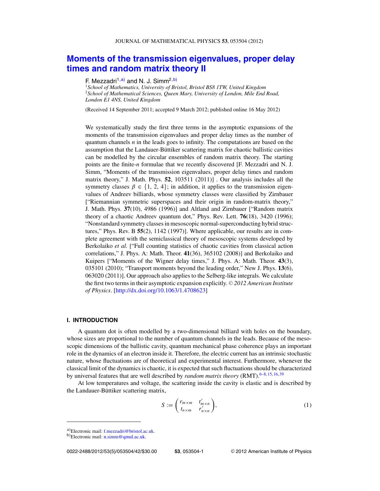## <span id="page-2-0"></span>**[Moments of the transmission eigenvalues, proper delay](http://dx.doi.org/10.1063/1.4708623) [times and random matrix theory II](http://dx.doi.org/10.1063/1.4708623)**

### F. Mezzadri<sup>1,a)</sup> and N. J. Simm<sup>2,b)</sup>

<sup>1</sup>*School of Mathematics, University of Bristol, Bristol BS8 1TW, United Kingdom* <sup>2</sup>*School of Mathematical Sciences, Queen Mary, University of London, Mile End Road, London E1 4NS, United Kingdom*

(Received 14 September 2011; accepted 9 March 2012; published online 16 May 2012)

We systematically study the first three terms in the asymptotic expansions of the moments of the transmission eigenvalues and proper delay times as the number of quantum channels *n* in the leads goes to infinity. The computations are based on the assumption that the Landauer-Büttiker scattering matrix for chaotic ballistic cavities can be modelled by the circular ensembles of random matrix theory. The starting points are the finite-*n* formulae that we recently discovered [F. Mezzadri and N. J. Simm, "Moments of the transmission eigenvalues, proper delay times and random matrix theory," J. Math. Phys. **52**, 103511 (2011)] . Our analysis includes all the symmetry classes  $\beta \in \{1, 2, 4\}$ ; in addition, it applies to the transmission eigenvalues of Andreev billiards, whose symmetry classes were classified by Zirnbauer ["Riemannian symmetric superspaces and their origin in random-matrix theory," J. Math. Phys. **37**(10), 4986 (1996)] and Altland and Zirnbauer ["Random matrix theory of a chaotic Andreev quantum dot," Phys. Rev. Lett. **76**(18), 3420 (1996); "Nonstandard symmetry classes in mesoscopic normal-superconducting hybrid structures," Phys. Rev. B **55**(2), 1142 (1997)]. Where applicable, our results are in complete agreement with the semiclassical theory of mesoscopic systems developed by Berkolaiko *et al.* ["Full counting statistics of chaotic cavities from classical action correlations," J. Phys. A: Math. Theor. **41**(36), 365102 (2008)] and Berkolaiko and Kuipers ["Moments of the Wigner delay times," J. Phys. A: Math. Theor. **43**(3), 035101 (2010); "Transport moments beyond the leading order," New J. Phys. **13**(6), 063020 (2011)]. Our approach also applies to the Selberg-like integrals. We calculate the first two terms in their asymptotic expansion explicitly. © 2012 American Institute *of Physics*. [\[http://dx.doi.org/10.1063/1.4708623\]](http://dx.doi.org/10.1063/1.4708623)

#### **I. INTRODUCTION**

A quantum dot is often modelled by a two-dimensional billiard with holes on the boundary, whose sizes are proportional to the number of quantum channels in the leads. Because of the mesoscopic dimensions of the ballistic cavity, quantum mechanical phase coherence plays an important role in the dynamics of an electron inside it. Therefore, the electric current has an intrinsic stochastic nature, whose fluctuations are of theoretical and experimental interest. Furthermore, whenever the classical limit of the dynamics is chaotic, it is expected that such fluctuations should be characterized by universal features that are well described by *random matrix theory* (RMT).<sup>6–8, [15,](#page-41-0) [16,](#page-41-0) [39](#page-42-0)</sup>

At low temperatures and voltage, the scattering inside the cavity is elastic and is described by the Landauer-Büttiker scattering matrix,

$$
S := \begin{pmatrix} r_{m \times m} & t'_{m \times n} \\ t_{n \times m} & r'_{n \times n} \end{pmatrix},
$$
 (1)

a)Electronic mail: [f.mezzadri@bristol.ac.uk.](mailto: f.mezzadri@bristol.ac.uk)<br>b)Electronic mail: [n.simm@qmul.ac.uk.](mailto: n.simm@qmul.ac.uk)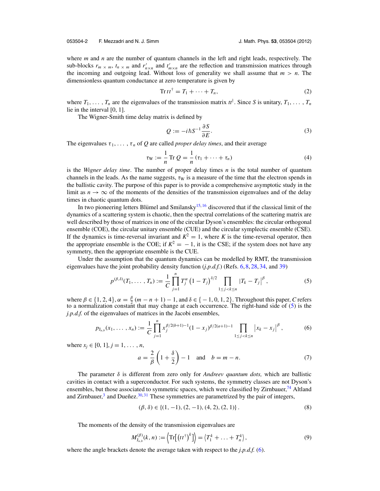<span id="page-3-0"></span>where *m* and *n* are the number of quantum channels in the left and right leads, respectively. The sub-blocks  $r_m \times m$ ,  $t_n \times m$  and  $r'_{m \times n}$  and  $t'_{m \times n}$  are the reflection and transmission matrices through the incoming and outgoing lead. Without loss of generality we shall assume that  $m > n$ . The dimensionless quantum conductance at zero temperature is given by

$$
\operatorname{Tr} t t^{\dagger} = T_1 + \dots + T_n,\tag{2}
$$

where  $T_1, \ldots, T_n$  are the eigenvalues of the transmission matrix  $tt^{\dagger}$ . Since *S* is unitary,  $T_1, \ldots, T_n$ lie in the interval [0, 1].

The Wigner-Smith time delay matrix is defined by

$$
Q := -i\hbar S^{-1} \frac{\partial S}{\partial E}.
$$
\n(3)

The eigenvalues  $\tau_1, \ldots, \tau_n$  of Q are called *proper delay times*, and their average

$$
\tau_{\mathcal{W}} := \frac{1}{n} \operatorname{Tr} Q = \frac{1}{n} (\tau_1 + \dots + \tau_n) \tag{4}
$$

is the *Wigner delay time*. The number of proper delay times *n* is the total number of quantum channels in the leads. As the name suggests,  $\tau_W$  is a measure of the time that the electron spends in the ballistic cavity. The purpose of this paper is to provide a comprehensive asymptotic study in the limit as  $n \to \infty$  of the moments of the densities of the transmission eigenvalues and of the delay times in chaotic quantum dots.

In two pioneering letters Blumel and Smilansky<sup>[15,](#page-41-0)[16](#page-41-0)</sup> discovered that if the classical limit of the dynamics of a scattering system is chaotic, then the spectral correlations of the scattering matrix are well described by those of matrices in one of the circular Dyson's ensembles: the circular orthogonal ensemble (COE), the circular unitary ensemble (CUE) and the circular symplectic ensemble (CSE). If the dynamics is time-reversal invariant and  $K^2 = 1$ , where K is the time-reversal operator, then the appropriate ensemble is the COE; if  $K^2 = -1$ , it is the CSE; if the system does not have any symmetry, then the appropriate ensemble is the CUE.

Under the assumption that the quantum dynamics can be modelled by RMT, the transmission eigenvalues have the joint probability density function (*j.p.d.f.*) (Refs. [6,](#page-41-0) [8,](#page-41-0) [28,](#page-42-0) [34,](#page-42-0) and [39\)](#page-42-0)

$$
p^{(\beta,\delta)}(T_1,\ldots,T_n) := \frac{1}{C} \prod_{j=1}^n T_j^{\alpha} \left(1-T_j\right)^{\delta/2} \prod_{1 \le j < k \le n} \left|T_k - T_j\right|^{\beta},\tag{5}
$$

where  $\beta \in \{1, 2, 4\}, \alpha = \frac{\beta}{2} (m - n + 1) - 1$ , and  $\delta \in \{-1, 0, 1, 2\}$ . Throughout this paper, *C* refers to a normalization constant that may change at each occurrence. The right-hand side of (5) is the *j.p.d.f.* of the eigenvalues of matrices in the Jacobi ensembles,

$$
p_{J_{a,b}}(x_1,\ldots,x_n) := \frac{1}{C} \prod_{j=1}^n x_j^{\beta/2(b+1)-1} (1-x_j)^{\beta/2(a+1)-1} \prod_{1 \le j < k \le n} \left| x_k - x_j \right|^\beta, \tag{6}
$$

where  $x_j \in [0, 1], j = 1, \ldots, n$ ,

$$
a = \frac{2}{\beta} \left( 1 + \frac{\delta}{2} \right) - 1 \quad \text{and} \quad b = m - n. \tag{7}
$$

The parameter δ is different from zero only for *Andreev quantum dots,* which are ballistic cavities in contact with a superconductor. For such systems, the symmetry classes are not Dyson's ensembles, but those associated to symmetric spaces, which were classified by Zirnbauer, $^{14}$  Altland and Zirnbauer,<sup>[3](#page-41-0)</sup> and Dueñez.<sup>[30,](#page-42-0) [31](#page-42-0)</sup> These symmetries are parametrized by the pair of integers,

$$
(\beta, \delta) \in \{ (1, -1), (2, -1), (4, 2), (2, 1) \}.
$$
 (8)

The moments of the density of the transmission eigenvalues are

$$
M_{J_{a,b}}^{(\beta)}(k,n) := \left\langle \operatorname{Tr}\left[\left(t t^{\dagger}\right)^{k}\right] \right\rangle = \left\langle T_{1}^{k} + \ldots + T_{n}^{k}\right\rangle, \tag{9}
$$

where the angle brackets denote the average taken with respect to the *j.p.d.f.* (6).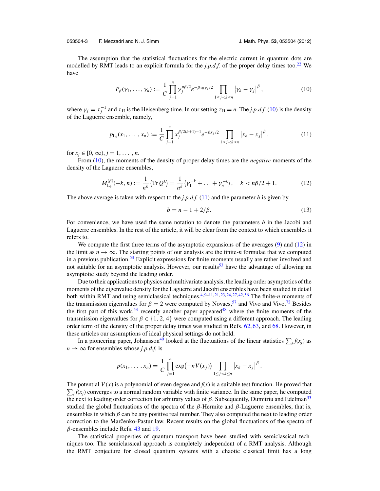<span id="page-4-0"></span>053504-3 F. Mezzadri and N. J. Simm J. Math. Phys. **53**, 053504 (2012)

The assumption that the statistical fluctuations for the electric current in quantum dots are modelled by RMT leads to an explicit formula for the *j.p.d.f.* of the proper delay times too.<sup>[22](#page-41-0)</sup> We have

$$
P_{\beta}(\gamma_1,\ldots,\gamma_n) := \frac{1}{C} \prod_{j=1}^n \gamma_j^{n\beta/2} e^{-\beta \tau_H \gamma_j/2} \prod_{1 \le j < k \le n} \left| \gamma_k - \gamma_j \right|^\beta, \tag{10}
$$

where  $\gamma_j = \tau_j^{-1}$  and  $\tau_H$  is the Heisenberg time. In our setting  $\tau_H = n$ . The *j.p.d.f.* (10) is the density of the Laguerre ensemble, namely,

$$
p_{\mathcal{L}_b}(x_1,\ldots,x_n) := \frac{1}{C} \prod_{j=1}^n x_j^{\beta/2(b+1)-1} e^{-\beta x_j/2} \prod_{1 \le j < k \le n} \left| x_k - x_j \right|^\beta,\tag{11}
$$

for  $x_i \in [0, \infty), j = 1, \ldots, n$ .

From (10), the moments of the density of proper delay times are the *negative* moments of the density of the Laguerre ensembles,

$$
M_{\mathsf{L}_{b}}^{(\beta)}(-k,n) := \frac{1}{n^{k}} \left\langle \operatorname{Tr} Q^{k} \right\rangle = \frac{1}{n^{k}} \left\langle \gamma_{1}^{-k} + \ldots + \gamma_{n}^{-k} \right\rangle, \quad k < n\beta/2 + 1. \tag{12}
$$

The above average is taken with respect to the *j.p.d.f.* (11) and the parameter *b* is given by

$$
b = n - 1 + 2/\beta. \tag{13}
$$

For convenience, we have used the same notation to denote the parameters *b* in the Jacobi and Laguerre ensembles. In the rest of the article, it will be clear from the context to which ensembles it refers to.

We compute the first three terms of the asymptotic expansions of the averages [\(9\)](#page-3-0) and (12) in the limit as  $n \to \infty$ . The starting points of our analysis are the finite-*n* formulae that we computed in a previous publication.<sup>53</sup> Explicit expressions for finite moments usually are rather involved and not suitable for an asymptotic analysis. However, our results<sup>53</sup> have the advantage of allowing an asymptotic study beyond the leading order.

Due to their applications to physics and multivariate analysis, the leading order asymptotics of the moments of the eigenvalue density for the Laguerre and Jacobi ensembles have been studied in detail both within RMT and using semiclassical techniques.<sup>4, [9–11,](#page-41-0) [21,](#page-41-0) [23,](#page-41-0) [24,](#page-41-0) [27,](#page-42-0) [42,](#page-42-0) [56](#page-42-0)</sup> The finite-*n* moments of the transmission eigenvalues for  $\beta = 2$  were computed by Novaes,<sup>57</sup> and Vivo and Vivo.<sup>72</sup> Besides the first part of this work,<sup>[53](#page-42-0)</sup> recently another paper appeared<sup>48</sup> where the finite moments of the transmission eigenvalues for  $\beta \in \{1, 2, 4\}$  were computed using a different approach. The leading order term of the density of the proper delay times was studied in Refs. [62,](#page-42-0) [63,](#page-42-0) and [68.](#page-43-0) However, in these articles our assumptions of ideal physical settings do not hold.

In a pioneering paper, Johansson<sup>40</sup> looked at the fluctuations of the linear statistics  $\sum_i f(x_i)$  as  $n \rightarrow \infty$  for ensembles whose *j.p.d.f.* is

$$
p(x_1,...,x_n) = \frac{1}{C} \prod_{j=1}^n \exp(-nV(x_j)) \prod_{1 \leq j < k \leq n} |x_k - x_j|^\beta.
$$

The potential  $V(x)$  is a polynomial of even degree and  $f(x)$  is a suitable test function. He proved that  $\sum_j f(x_j)$  converges to a normal random variable with finite variance. In the same paper, he computed the next to leading order correction for arbitrary values of  $\beta$ . Subsequently, Dumitriu and Edelman<sup>33</sup> studied the global fluctuations of the spectra of the  $\beta$ -Hermite and  $\beta$ -Laguerre ensembles, that is, ensembles in which  $\beta$  can be any positive real number. They also computed the next to leading order correction to the Marcenko-Pastur law. Recent results on the global fluctuations of the spectra of  $\beta$ -ensembles include Refs. [43](#page-42-0) and [19.](#page-41-0)

The statistical properties of quantum transport have been studied with semiclassical techniques too. The semiclassical approach is completely independent of a RMT analysis. Although the RMT conjecture for closed quantum systems with a chaotic classical limit has a long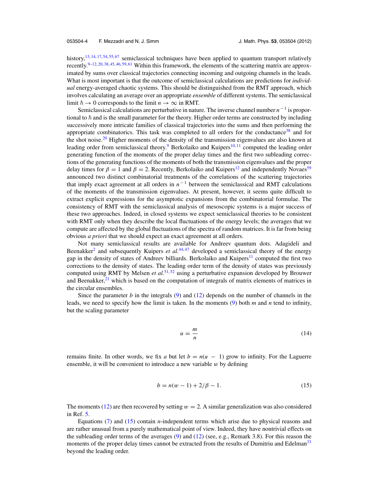<span id="page-5-0"></span>history,<sup>13, [14,](#page-41-0) [17,](#page-41-0) [54,](#page-42-0) [55,](#page-42-0) [67](#page-42-0)</sup> semiclassical techniques have been applied to quantum transport relatively recently.[9–12,](#page-41-0) [20,](#page-41-0) [38,](#page-42-0) [45,](#page-42-0) [46,](#page-42-0) [59,](#page-42-0) [61](#page-42-0) Within this framework, the elements of the scattering matrix are approximated by sums over classical trajectories connecting incoming and outgoing channels in the leads. What is most important is that the outcome of semiclassical calculations are predictions for *individual* energy-averaged chaotic systems. This should be distinguished from the RMT approach, which involves calculating an average over an appropriate *ensemble* of different systems. The semiclassical limit  $\hbar \to 0$  corresponds to the limit  $n \to \infty$  in RMT.

Semiclassical calculations are perturbative in nature. The inverse channel number *n*<sup>−1</sup> is proportional to  $\hbar$  and is the small parameter for the theory. Higher order terms are constructed by including successively more intricate families of classical trajectories into the sums and then performing the appropriate combinatorics. This task was completed to all orders for the conductance<sup>38</sup> and for the shot noise.<sup>[20](#page-41-0)</sup> Higher moments of the density of the transmission eigenvalues are also known at leading order from semiclassical theory.<sup>9</sup> Berkolaiko and Kuipers<sup>10, [11](#page-41-0)</sup> computed the leading order generating function of the moments of the proper delay times and the first two subleading corrections of the generating functions of the moments of both the transmission eigenvalues and the proper delay times for  $\beta = 1$  and  $\beta = 2$ . Recently, Berkolaiko and Kuipers<sup>12</sup> and independently Novaes<sup>[59](#page-42-0)</sup> announced two distinct combinatorial treatments of the correlations of the scattering trajectories that imply exact agreement at all orders in  $n^{-1}$  between the semiclassical and RMT calculations of the moments of the transmission eigenvalues. At present, however, it seems quite difficult to extract explicit expressions for the asymptotic expansions from the combinatorial formulae. The consistency of RMT with the semiclassical analysis of mesoscopic systems is a major success of these two approaches. Indeed, in closed systems we expect semiclassical theories to be consistent with RMT only when they describe the local fluctuations of the energy levels; the averages that we compute are affected by the global fluctuations of the spectra of random matrices. It is far from being obvious *a priori* that we should expect an exact agreement at all orders.

Not many semiclassical results are available for Andreev quantum dots. Adagideli and Beenakker<sup>[2](#page-41-0)</sup> and subsequently Kuipers *et al.*<sup>[44,](#page-42-0) [47](#page-42-0)</sup> developed a semiclassical theory of the energy gap in the density of states of Andreev billiards. Berkolaiko and Kuipers<sup>11</sup> computed the first two corrections to the density of states. The leading order term of the density of states was previously computed using RMT by Melsen *et al.*<sup>[51,](#page-42-0)[52](#page-42-0)</sup> using a perturbative expansion developed by Brouwer and Beenakker, $^{21}$  $^{21}$  $^{21}$  which is based on the computation of integrals of matrix elements of matrices in the circular ensembles.

Since the parameter *b* in the integrals [\(9\)](#page-3-0) and [\(12\)](#page-4-0) depends on the number of channels in the leads, we need to specify how the limit is taken. In the moments [\(9\)](#page-3-0) both *m* and *n* tend to infinity, but the scaling parameter

$$
u = -\frac{m}{n} \tag{14}
$$

remains finite. In other words, we fix *a* but let  $b = n(u - 1)$  grow to infinity. For the Laguerre ensemble, it will be convenient to introduce a new variable  $w$  by defining

$$
b = n(w - 1) + 2/\beta - 1.
$$
 (15)

The moments [\(12\)](#page-4-0) are then recovered by setting  $w = 2$ . A similar generalization was also considered in Ref. [5.](#page-41-0)

Equations [\(7\)](#page-3-0) and (15) contain *n*-independent terms which arise due to physical reasons and are rather unusual from a purely mathematical point of view. Indeed, they have nontrivial effects on the subleading order terms of the averages [\(9\)](#page-3-0) and [\(12\)](#page-4-0) (see, e.g., Remark 3.8). For this reason the moments of the proper delay times cannot be extracted from the results of Dumitriu and Edelman<sup>33</sup> beyond the leading order.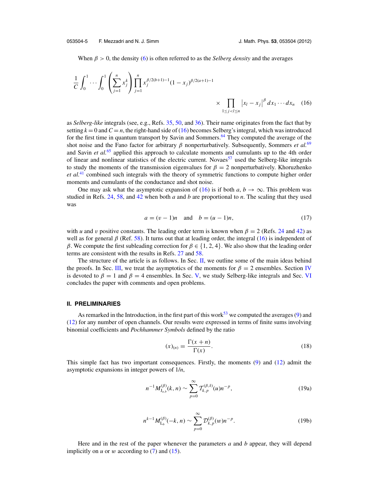<span id="page-6-0"></span>When  $\beta > 0$ , the density [\(6\)](#page-3-0) is often referred to as the *Selberg density* and the averages

$$
\frac{1}{C} \int_0^1 \cdots \int_0^1 \left( \sum_{j=1}^n x_j^k \right) \prod_{j=1}^n x_j^{\beta/2(b+1)-1} (1-x_j)^{\beta/2(a+1)-1} \times \prod_{1 \le j < l \le n} |x_l - x_j|^\beta dx_1 \cdots dx_n \tag{16}
$$

as *Selberg-like* integrals (see, e.g., Refs. [35,](#page-42-0) [50,](#page-42-0) and [36\)](#page-42-0). Their name originates from the fact that by setting  $k = 0$  and  $C = n$ , the right-hand side of (16) becomes Selberg's integral, which was introduced for the first time in quantum transport by Savin and Sommers.<sup>64</sup> They computed the average of the shot noise and the Fano factor for arbitrary  $\beta$  nonperturbatively. Subsequently, Sommers *et al.*<sup>[69](#page-43-0)</sup> and Savin *et al.*[65](#page-42-0) applied this approach to calculate moments and cumulants up to the 4th order of linear and nonlinear statistics of the electric current. Novaes<sup>[57](#page-42-0)</sup> used the Selberg-like integrals to study the moments of the transmission eigenvalues for  $\beta = 2$  nonperturbatively. Khoruzhenko *et al.*[41](#page-42-0) combined such integrals with the theory of symmetric functions to compute higher order moments and cumulants of the conductance and shot noise.

One may ask what the asymptotic expansion of (16) is if both  $a, b \rightarrow \infty$ . This problem was studied in Refs. [24,](#page-41-0) [58,](#page-42-0) and [42](#page-42-0) when both *a* and *b* are proportional to *n*. The scaling that they used was

$$
a = (v - 1)n
$$
 and  $b = (u - 1)n$ , (17)

with *u* and *v* positive constants. The leading order term is known when  $\beta = 2$  (Refs. [24](#page-41-0) and [42\)](#page-42-0) as well as for general  $\beta$  (Ref. [58\)](#page-42-0). It turns out that at leading order, the integral (16) is independent of β. We compute the first subleading correction for  $\beta \in \{1, 2, 4\}$ . We also show that the leading order terms are consistent with the results in Refs. [27](#page-42-0) and [58.](#page-42-0)

The structure of the article is as follows. In Sec. II, we outline some of the main ideas behind the proofs. In Sec. [III,](#page-9-0) we treat the asymptotics of the moments for  $\beta = 2$  ensembles. Section [IV](#page-19-0) is devoted to  $\beta = 1$  and  $\beta = 4$  ensembles. In Sec. [V,](#page-29-0) we study Selberg-like integrals and Sec. [VI](#page-35-0) concludes the paper with comments and open problems.

#### **II. PRELIMINARIES**

As remarked in the Introduction, in the first part of this work<sup>53</sup> we computed the averages [\(9\)](#page-3-0) and [\(12\)](#page-4-0) for any number of open channels. Our results were expressed in terms of finite sums involving binomial coefficients and *Pochhammer Symbols* defined by the ratio

$$
(x)_{(n)} = \frac{\Gamma(x+n)}{\Gamma(x)}.
$$
\n(18)

This simple fact has two important consequences. Firstly, the moments [\(9\)](#page-3-0) and [\(12\)](#page-4-0) admit the asymptotic expansions in integer powers of 1/*n*,

$$
n^{-1} M_{J_{a,b}}^{(\beta)}(k,n) \sim \sum_{p=0}^{\infty} T_{k,p}^{(\beta,\delta)}(u) n^{-p},
$$
\n(19a)

$$
n^{k-1} M_{\mathcal{L}_b}^{(\beta)}(-k, n) \sim \sum_{p=0}^{\infty} \mathcal{D}_{k, p}^{(\beta)}(w) n^{-p}.
$$
 (19b)

Here and in the rest of the paper whenever the parameters *a* and *b* appear, they will depend implicitly on  $u$  or  $w$  according to  $(7)$  and  $(15)$ .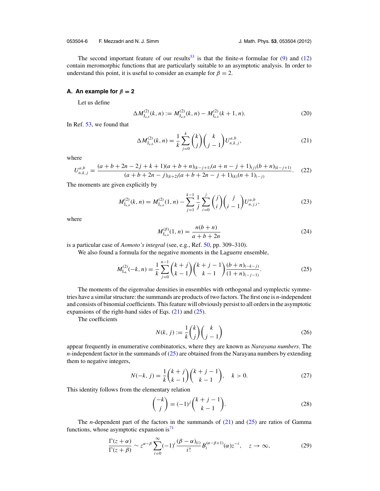<span id="page-7-0"></span>053504-6 F. Mezzadri and N. J. Simm J. Math. Phys. **53**, 053504 (2012)

The second important feature of our results<sup>[53](#page-42-0)</sup> is that the finite-*n* formulae for [\(9\)](#page-3-0) and [\(12\)](#page-4-0) contain meromorphic functions that are particularly suitable to an asymptotic analysis. In order to understand this point, it is useful to consider an example for  $\beta = 2$ .

#### **A.** An example for  $\beta = 2$

Let us define

$$
\Delta M_{J_{a,b}}^{(2)}(k,n) := M_{J_{a,b}}^{(2)}(k,n) - M_{J_{a,b}}^{(2)}(k+1,n). \tag{20}
$$

In Ref. [53,](#page-42-0) we found that

$$
\Delta M_{J_{a,b}}^{(2)}(k,n) = \frac{1}{k} \sum_{j=0}^{k} {k \choose j} {k \choose j-1} U_{n,k,j}^{a,b},
$$
\n(21)

where

$$
U_{n,k,j}^{a,b} = \frac{(a+b+2n-2j+k+1)(a+b+n)_{(k-j+1)}(a+n-j+1)_{(j)}(b+n)_{(k-j+1)}}{(a+b+2n-j)_{(k+2)}(a+b+2n-j+1)_{(k)}(n+1)_{(-j)}}.
$$
 (22)

The moments are given explicitly by

$$
M_{J_{a,b}}^{(2)}(k,n) = M_{J_{a,b}}^{(2)}(1,n) - \sum_{j=1}^{k-1} \frac{1}{j} \sum_{i=0}^{j} {j \choose i} {j \choose i-1} U_{n,j,i}^{a,b},
$$
\n(23)

where

$$
M_{J_{a,b}}^{(\beta)}(1,n) = \frac{n(b+n)}{a+b+2n}
$$
 (24)

is a particular case of *Aomoto's integral* (see, e.g., Ref. [50,](#page-42-0) pp. 309–310).

We also found a formula for the negative moments in the Laguerre ensemble,

$$
M_{\mathcal{L}_b}^{(2)}(-k,n) = \frac{1}{k} \sum_{j=0}^{n-1} {k+j \choose k-1} {k+j-1 \choose k-1} \frac{(b+n)_{(-k-j)}}{(1+n)_{(-j-1)}}.
$$
 (25)

The moments of the eigenvalue densities in ensembles with orthogonal and symplectic symmetries have a similar structure: the summands are products of two factors. The first one is *n*-independent and consists of binomial coefficients. This feature will obviously persist to all orders in the asymptotic expansions of the right-hand sides of Eqs.  $(21)$  and  $(25)$ .

The coefficients

$$
N(k, j) := \frac{1}{k} \binom{k}{j} \binom{k}{j-1} \tag{26}
$$

appear frequently in enumerative combinatorics, where they are known as *Narayana numbers*. The  $n$ -independent factor in the summands of  $(25)$  are obtained from the Narayana numbers by extending them to negative integers,

$$
N(-k, j) = \frac{1}{k} {k + j \choose k - 1} {k + j - 1 \choose k - 1}, \quad k > 0.
$$
 (27)

This identity follows from the elementary relation

$$
\binom{-k}{j} = (-1)^j \binom{k+j-1}{k-1}.
$$
\n(28)

The *n*-dependent part of the factors in the summands of (21) and (25) are ratios of Gamma functions, whose asymptotic expansion is<sup>71</sup>

$$
\frac{\Gamma(z+\alpha)}{\Gamma(z+\beta)} \sim z^{\alpha-\beta} \sum_{i=0}^{\infty} (-1)^i \frac{(\beta-\alpha)_{(i)}}{i!} B_i^{(\alpha-\beta+1)}(\alpha) z^{-i}, \quad z \to \infty,
$$
\n(29)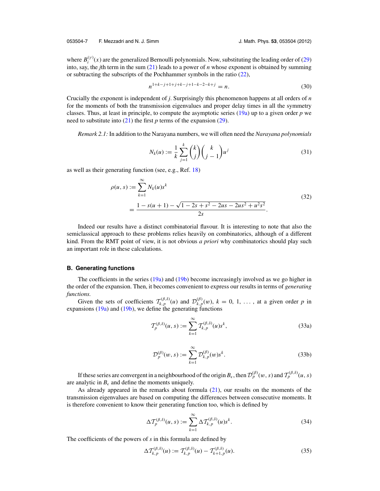#### <span id="page-8-0"></span>053504-7 F. Mezzadri and N. J. Simm J. Math. Phys. **53**, 053504 (2012)

where  $B_i^{(\gamma)}(x)$  are the generalized Bernoulli polynomials. Now, substituting the leading order of [\(29\)](#page-7-0) into, say, the *j*th term in the sum [\(21\)](#page-7-0) leads to a power of *n* whose exponent is obtained by summing or subtracting the subscripts of the Pochhammer symbols in the ratio [\(22\)](#page-7-0),

$$
n^{1+k-j+1+j+k-j+1-k-2-k+j} = n.
$$
\n(30)

Crucially the exponent is independent of *j*. Surprisingly this phenomenon happens at all orders of *n* for the moments of both the transmission eigenvalues and proper delay times in all the symmetry classes. Thus, at least in principle, to compute the asymptotic series [\(19a\)](#page-6-0) up to a given order *p* we need to substitute into  $(21)$  the first *p* terms of the expansion  $(29)$ .

*Remark 2.1:* In addition to the Narayana numbers, we will often need the *Narayana polynomials*

$$
N_k(u) := \frac{1}{k} \sum_{j=1}^k {k \choose j} {k \choose j-1} u^j
$$
 (31)

as well as their generating function (see, e.g., Ref. [18\)](#page-41-0)

$$
\rho(u, s) := \sum_{k=1}^{\infty} N_k(u)s^k
$$
  
= 
$$
\frac{1 - s(u + 1) - \sqrt{1 - 2s + s^2 - 2us - 2us^2 + u^2s^2}}{2s}.
$$
 (32)

Indeed our results have a distinct combinatorial flavour. It is interesting to note that also the semiclassical approach to these problems relies heavily on combinatorics, although of a different kind. From the RMT point of view, it is not obvious *a priori* why combinatorics should play such an important role in these calculations.

#### **B. Generating functions**

The coefficients in the series [\(19a\)](#page-6-0) and [\(19b\)](#page-6-0) become increasingly involved as we go higher in the order of the expansion. Then, it becomes convenient to express our results in terms of *generating functions.*

Given the sets of coefficients  $T_{k,p}^{(\beta,\delta)}(u)$  and  $\mathcal{D}_{k,p}^{(\beta)}(w)$ ,  $k = 0, 1, \ldots$ , at a given order *p* in expansions  $(19a)$  and  $(19b)$ , we define the generating functions

$$
\mathcal{T}_p^{(\beta,\delta)}(u,s) := \sum_{k=1}^{\infty} \mathcal{T}_{k,p}^{(\beta,\delta)}(u)s^k,
$$
\n(33a)

$$
\mathcal{D}_p^{(\beta)}(w,s) := \sum_{k=1}^{\infty} \mathcal{D}_{k,p}^{(\beta)}(w)s^k.
$$
\n(33b)

If these series are convergent in a neighbourhood of the origin  $B_\epsilon$ , then  $\mathcal{D}_p^{(\beta)}(w, s)$  and  $\mathcal{T}_p^{(\beta, \delta)}(u, s)$ are analytic in  $B_{\epsilon}$  and define the moments uniquely.

As already appeared in the remarks about formula [\(21\)](#page-7-0), our results on the moments of the transmission eigenvalues are based on computing the differences between consecutive moments. It is therefore convenient to know their generating function too, which is defined by

$$
\Delta \mathcal{T}_p^{(\beta,\delta)}(u,s) := \sum_{k=1}^{\infty} \Delta \mathcal{T}_{k,p}^{(\beta,\delta)}(u) s^k.
$$
 (34)

The coefficients of the powers of *s* in this formula are defined by

$$
\Delta \mathcal{T}_{k,p}^{(\beta,\delta)}(u) := \mathcal{T}_{k,p}^{(\beta,\delta)}(u) - \mathcal{T}_{k+1,p}^{(\beta,\delta)}(u). \tag{35}
$$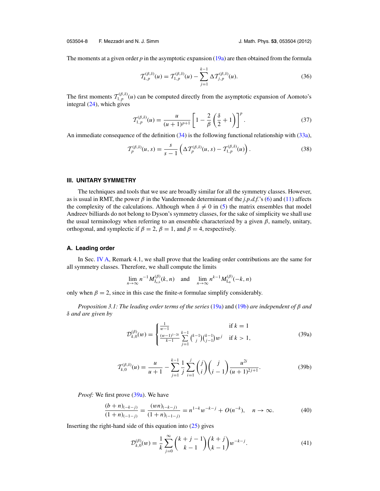<span id="page-9-0"></span>053504-8 F. Mezzadri and N. J. Simm J. Math. Phys. **53**, 053504 (2012)

The moments at a given order  $p$  in the asymptotic expansion  $(19a)$  are then obtained from the formula

$$
\mathcal{T}_{k,p}^{(\beta,\delta)}(u) = \mathcal{T}_{1,p}^{(\beta,\delta)}(u) - \sum_{j=1}^{k-1} \Delta \mathcal{T}_{j,p}^{(\beta,\delta)}(u). \tag{36}
$$

The first moments  $T_{1,p}^{(\beta,\delta)}(u)$  can be computed directly from the asymptotic expansion of Aomoto's integral  $(24)$ , which gives

$$
T_{1,p}^{(\beta,\delta)}(u) = \frac{u}{(u+1)^{p+1}} \left[1 - \frac{2}{\beta} \left(\frac{\delta}{2} + 1\right)\right]^p.
$$
 (37)

An immediate consequence of the definition [\(34\)](#page-8-0) is the following functional relationship with [\(33a\)](#page-8-0),

$$
\mathcal{T}_{p}^{(\beta,\delta)}(u,s) = \frac{s}{s-1} \left( \Delta \mathcal{T}_{p}^{(\beta,\delta)}(u,s) - \mathcal{T}_{1,p}^{(\beta,\delta)}(u) \right). \tag{38}
$$

#### **III. UNITARY SYMMETRY**

The techniques and tools that we use are broadly similar for all the symmetry classes. However, as is usual in RMT, the power  $\beta$  in the Vandermonde determinant of the *j.p.d.f.*'s [\(6\)](#page-3-0) and [\(11\)](#page-4-0) affects the complexity of the calculations. Although when  $\delta \neq 0$  in [\(5\)](#page-3-0) the matrix ensembles that model Andreev billiards do not belong to Dyson's symmetry classes, for the sake of simplicity we shall use the usual terminology when referring to an ensemble characterized by a given  $\beta$ , namely, unitary, orthogonal, and symplectic if  $\beta = 2$ ,  $\beta = 1$ , and  $\beta = 4$ , respectively.

#### **A. Leading order**

In Sec. [IV A,](#page-19-0) Remark 4.1, we shall prove that the leading order contributions are the same for all symmetry classes. Therefore, we shall compute the limits

$$
\lim_{n \to \infty} n^{-1} M_{J_{a,b}}^{(\beta)}(k, n) \text{ and } \lim_{n \to \infty} n^{k-1} M_{L_b}^{(\beta)}(-k, n)
$$

only when  $\beta = 2$ , since in this case the finite-*n* formulae simplify considerably.

*Proposition 3.1: The leading order terms of the series* [\(19a\)](#page-6-0) and [\(19b\)](#page-6-0) *are independent of* β *and* δ *and are given by*

$$
\mathcal{D}_{k,0}^{(\beta)}(w) = \begin{cases} \frac{1}{w-1} & \text{if } k = 1\\ \frac{(w-1)^{1-2k}}{k-1} \sum_{j=1}^{k-1} {k-1 \choose j} {k-1 \choose j-1} w^j & \text{if } k > 1, \end{cases} \tag{39a}
$$

$$
\mathcal{T}_{k,0}^{(\beta,\delta)}(u) = \frac{u}{u+1} - \sum_{j=1}^{k-1} \frac{1}{j} \sum_{i=1}^{j} \binom{j}{i} \binom{j}{i-1} \frac{u^{2i}}{(u+1)^{2j+1}}.
$$
 (39b)

*Proof:* We first prove (39a). We have

$$
\frac{(b+n)_{(-k-j)}}{(1+n)_{(-1-j)}} = \frac{(wn)_{(-k-j)}}{(1+n)_{(-1-j)}} = n^{1-k}w^{-k-j} + O(n^{-k}), \quad n \to \infty.
$$
 (40)

Inserting the right-hand side of this equation into  $(25)$  gives

$$
\mathcal{D}_{k,0}^{(\beta)}(w) = \frac{1}{k} \sum_{j=0}^{\infty} {k+j-1 \choose k-1} {k+j \choose k-1} w^{-k-j}.
$$
\n(41)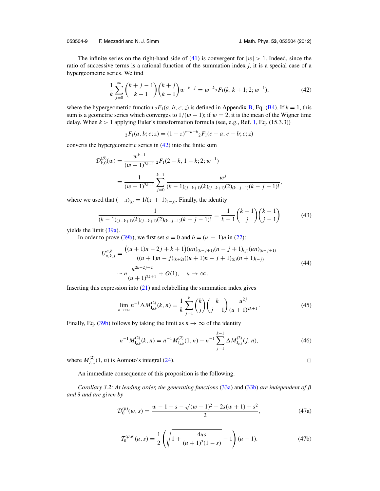<span id="page-10-0"></span>053504-9 F. Mezzadri and N. J. Simm J. Math. Phys. **53**, 053504 (2012)

 $\Box$ 

The infinite series on the right-hand side of [\(41\)](#page-9-0) is convergent for  $|w| > 1$ . Indeed, since the ratio of successive terms is a rational function of the summation index *j*, it is a special case of a hypergeometric series. We find

$$
\frac{1}{k}\sum_{j=0}^{\infty} {k+j-1 \choose k-1} {k+j \choose k-1} w^{-k-j} = w^{-k} {}_{2}F_{1}(k, k+1; 2; w^{-1}),
$$
\n(42)

where the hypergeometric function  ${}_2F_1(a, b; c; z)$  is defined in Appendix [B,](#page-36-0) Eq. [\(B4\)](#page-37-0). If  $k = 1$ , this sum is a geometric series which converges to  $1/(w - 1)$ ; if  $w = 2$ , it is the mean of the Wigner time delay. When  $k > 1$  applying Euler's transformation formula (see, e.g., Ref. [1,](#page-41-0) Eq. (15.3.3))

$$
{}_2F_1(a, b; c; z) = (1 - z)^{c - a - b} {}_2F_1(c - a, c - b; c; z)
$$

converts the hypergeometric series in (42) into the finite sum

$$
\mathcal{D}_{k,0}^{(\beta)}(w) = \frac{w^{k-1}}{(w-1)^{2k-1}} \, {}_2F_1(2-k, 1-k; 2; w^{-1})
$$
\n
$$
= \frac{1}{(w-1)^{2k-1}} \sum_{j=0}^{k-1} \frac{w^j}{(k-1)_{(j-k+1)}(k)_{(j-k+1)}(2)_{(k-j-1)}(k-j-1)!},
$$

where we used that  $(-x)_{(j)} = 1/(x + 1)_{(-j)}$ . Finally, the identity

$$
\frac{1}{(k-1)_{(j-k+1)}(k)_{(j-k+1)}(2)_{(k-j-1)}(k-j-1)!} = \frac{1}{k-1} \binom{k-1}{j} \binom{k-1}{j-1} \tag{43}
$$

yields the limit  $(39a)$ .

In order to prove [\(39b\)](#page-9-0), we first set  $a = 0$  and  $b = (u - 1)n$  in [\(22\)](#page-7-0):

$$
U_{n,k,j}^{a,b} = \frac{\left((u+1)n - 2j + k + 1\right)(un)_{(k-j+1)}(n-j+1)_{(j)}(un)_{(k-j+1)}}{\left((u+1)n - j\right)_{(k+2)}((u+1)n - j + 1)_{(k)}(n+1)_{(-j)}}\n\sim n\frac{u^{2k-2j+2}}{(u+1)^{2k+1}} + O(1), \quad n \to \infty.
$$
\n(44)

Inserting this expression into  $(21)$  and relabelling the summation index gives

$$
\lim_{n \to \infty} n^{-1} \Delta M_{J_{a,b}}^{(2)}(k, n) = \frac{1}{k} \sum_{j=1}^{k} {k \choose j} {k \choose j-1} \frac{u^{2j}}{(u+1)^{2k+1}}.
$$
 (45)

Finally, Eq. [\(39b\)](#page-9-0) follows by taking the limit as  $n \to \infty$  of the identity

$$
n^{-1}M_{J_{a,b}}^{(2)}(k,n) = n^{-1}M_{J_{a,b}}^{(2)}(1,n) - n^{-1}\sum_{j=1}^{k-1} \Delta M_{J_{a,b}}^{(2)}(j,n),
$$
\n(46)

where  $M_{J_{a,b}}^{(2)}(1, n)$  is Aomoto's integral [\(24\)](#page-7-0).

An immediate consequence of this proposition is the following.

*Corollary 3.2: At leading order, the generating functions* [\(33a\)](#page-8-0) and [\(33b\)](#page-8-0) *are independent of* β *and* δ *and are given by*

$$
\mathcal{D}_0^{(\beta)}(w,s) = \frac{w - 1 - s - \sqrt{(w - 1)^2 - 2s(w + 1) + s^2}}{2},\tag{47a}
$$

$$
T_0^{(\beta,\delta)}(u,s) = \frac{1}{2} \left( \sqrt{1 + \frac{4us}{(u+1)^2(1-s)}} - 1 \right) (u+1).
$$
 (47b)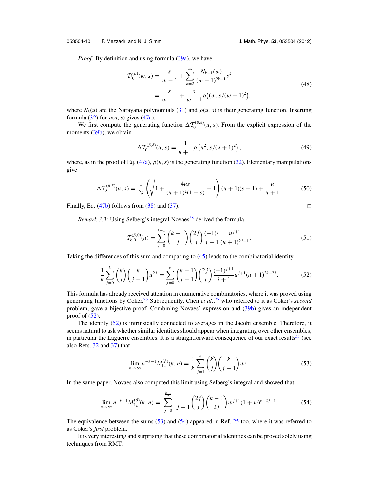#### <span id="page-11-0"></span>053504-10 F. Mezzadri and N. J. Simm J. Math. Phys. **53**, 053504 (2012)

*Proof:* By definition and using formula [\(39a\)](#page-9-0), we have

$$
\mathcal{D}_0^{(\beta)}(w,s) = \frac{s}{w-1} + \sum_{k=2}^{\infty} \frac{N_{k-1}(w)}{(w-1)^{2k-1}} s^k
$$
  
= 
$$
\frac{s}{w-1} + \frac{s}{w-1} \rho \left( (w, s/(w-1)^2) \right),
$$
 (48)

where  $N_k(u)$  are the Narayana polynomials [\(31\)](#page-8-0) and  $\rho(u, s)$  is their generating function. Inserting formula [\(32\)](#page-8-0) for  $\rho(u, s)$  gives [\(47a\)](#page-10-0).

We first compute the generating function  $\Delta \mathcal{T}_0^{(\beta,\delta)}(u, s)$ . From the explicit expression of the moments [\(39b\)](#page-9-0), we obtain

$$
\Delta \mathcal{T}_0^{(\beta,\delta)}(u,s) = \frac{1}{u+1} \rho \left( u^2, s/(u+1)^2 \right),\tag{49}
$$

where, as in the proof of Eq. [\(47a\)](#page-10-0),  $\rho(u, s)$  is the generating function [\(32\)](#page-8-0). Elementary manipulations give

$$
\Delta \mathcal{T}_0^{(\beta,\delta)}(u,s) = \frac{1}{2s} \left( \sqrt{1 + \frac{4us}{(u+1)^2(1-s)}} - 1 \right) (u+1)(s-1) + \frac{u}{u+1}.
$$
 (50)

Finally, Eq.  $(47b)$  follows from  $(38)$  and  $(37)$ .

 $\Box$ 

*Remark 3.3:* Using Selberg's integral Novaes<sup>[58](#page-42-0)</sup> derived the formula

$$
\mathcal{T}_{k,0}^{(\beta,0)}(u) = \sum_{j=0}^{k-1} {k-1 \choose j} {2j \choose j} \frac{(-1)^j}{j+1} \frac{u^{j+1}}{(u+1)^{2j+1}}.
$$
\n(51)

Taking the differences of this sum and comparing to [\(45\)](#page-10-0) leads to the combinatorial identity

$$
\frac{1}{k}\sum_{j=0}^{k} {k \choose j} {k \choose j-1} u^{2j} = \sum_{j=0}^{k} {k-1 \choose j-1} {2j \choose j} \frac{(-1)^{j+1}}{j+1} u^{j+1} (u+1)^{2k-2j}.
$$
 (52)

This formula has already received attention in enumerative combinatorics, where it was proved using generating functions by Coker[.26](#page-41-0) Subsequently, Chen *et al.*, [25](#page-41-0) who referred to it as Coker's *second* problem, gave a bijective proof. Combining Novaes' expression and [\(39b\)](#page-9-0) gives an independent proof of  $(52)$ .

The identity (52) is intrinsically connected to averages in the Jacobi ensemble. Therefore, it seems natural to ask whether similar identities should appear when integrating over other ensembles, in particular the Laguerre ensembles. It is a straightforward consequence of our exact results<sup>53</sup> (see also Refs. [32](#page-42-0) and [37\)](#page-42-0) that

$$
\lim_{n \to \infty} n^{-k-1} M_{L_b}^{(\beta)}(k, n) = \frac{1}{k} \sum_{j=1}^k {k \choose j} {k \choose j-1} w^j.
$$
 (53)

In the same paper, Novaes also computed this limit using Selberg's integral and showed that

$$
\lim_{n \to \infty} n^{-k-1} M_{L_b}^{(\beta)}(k, n) = \sum_{j=0}^{\left\lfloor \frac{k-1}{2} \right\rfloor} \frac{1}{j+1} {2j \choose j} {k-1 \choose 2j} w^{j+1} (1+w)^{k-2j-1}.
$$
 (54)

The equivalence between the sums (53) and (54) appeared in Ref. [25](#page-41-0) too, where it was referred to as Coker's *first* problem.

It is very interesting and surprising that these combinatorial identities can be proved solely using techniques from RMT.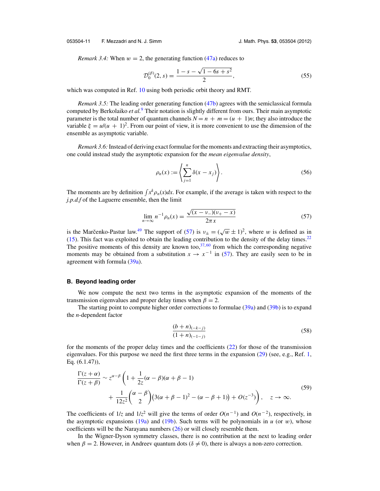#### <span id="page-12-0"></span>053504-11 F. Mezzadri and N. J. Simm J. Math. Phys. **53**, 053504 (2012)

*Remark 3.4:* When  $w = 2$ , the generating function [\(47a\)](#page-10-0) reduces to

$$
\mathcal{D}_0^{(\beta)}(2, s) = \frac{1 - s - \sqrt{1 - 6s + s^2}}{2},\tag{55}
$$

which was computed in Ref. [10](#page-41-0) using both periodic orbit theory and RMT.

*Remark 3.5:* The leading order generating function [\(47b\)](#page-10-0) agrees with the semiclassical formula computed by Berkolaiko *et al.*[9](#page-41-0) Their notation is slightly different from ours. Their main asymptotic parameter is the total number of quantum channels  $N = n + m = (u + 1)n$ ; they also introduce the variable  $\xi = u/(u + 1)^2$ . From our point of view, it is more convenient to use the dimension of the ensemble as asymptotic variable.

*Remark 3.6:*Instead of deriving exact formulae for the moments and extracting their asymptotics, one could instead study the asymptotic expansion for the *mean eigenvalue density*,

$$
\rho_n(x) := \left\langle \sum_{j=1}^n \delta(x - x_j) \right\rangle. \tag{56}
$$

The moments are by definition  $\int x^k \rho_n(x) dx$ . For example, if the average is taken with respect to the *j.p.d.f* of the Laguerre ensemble, then the limit

$$
\lim_{n \to \infty} n^{-1} \rho_n(x) = \frac{\sqrt{(x - \nu_-)(\nu_+ - x)}}{2\pi x}
$$
\n(57)

is the Marcenko-Pastur law.<sup>[49](#page-42-0)</sup> The support of (57) is  $v_{\pm} = (\sqrt{w} \pm 1)^2$ , where w is defined as in [\(15\)](#page-5-0). This fact was exploited to obtain the leading contribution to the density of the delay times[.22](#page-41-0) The positive moments of this density are known too,  $37,60$  $37,60$  from which the corresponding negative moments may be obtained from a substitution  $x \to x^{-1}$  in (57). They are easily seen to be in agreement with formula [\(39a\)](#page-9-0).

#### **B. Beyond leading order**

We now compute the next two terms in the asymptotic expansion of the moments of the transmission eigenvalues and proper delay times when  $\beta = 2$ .

The starting point to compute higher order corrections to formulae  $(39a)$  and  $(39b)$  is to expand the *n*-dependent factor

$$
\frac{(b+n)_{(-k-j)}}{(1+n)_{(-1-j)}}
$$
\n(58)

for the moments of the proper delay times and the coefficients [\(22\)](#page-7-0) for those of the transmission eigenvalues. For this purpose we need the first three terms in the expansion [\(29\)](#page-7-0) (see, e.g., Ref. [1,](#page-41-0) Eq. (6.1.47)),

$$
\frac{\Gamma(z+\alpha)}{\Gamma(z+\beta)} \sim z^{\alpha-\beta} \left( 1 + \frac{1}{2z} (\alpha - \beta)(\alpha + \beta - 1) + \frac{1}{12z^2} {\alpha - \beta \choose 2} (3(\alpha + \beta - 1)^2 - (\alpha - \beta + 1)) + O(z^{-3}) \right), \quad z \to \infty.
$$
\n(59)

The coefficients of  $1/z$  and  $1/z^2$  will give the terms of order  $O(n^{-1})$  and  $O(n^{-2})$ , respectively, in the asymptotic expansions  $(19a)$  and  $(19b)$ . Such terms will be polynomials in *u* (or *w*), whose coefficients will be the Narayana numbers [\(26\)](#page-7-0) or will closely resemble them.

In the Wigner-Dyson symmetry classes, there is no contribution at the next to leading order when  $\beta = 2$ . However, in Andreev quantum dots ( $\delta \neq 0$ ), there is always a non-zero correction.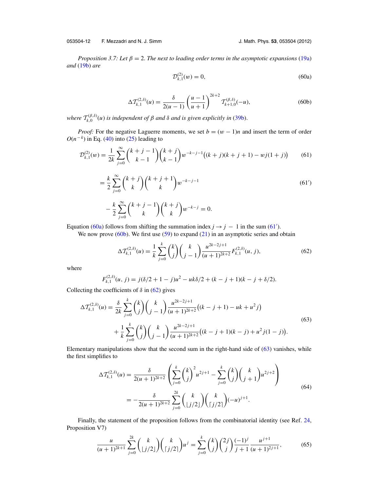<span id="page-13-0"></span>053504-12 F. Mezzadri and N. J. Simm J. Math. Phys. **53**, 053504 (2012)

*Proposition 3.7: Let*  $\beta = 2$ *. The next to leading order terms in the asymptotic expansions* [\(19a\)](#page-6-0) *and* [\(19b\)](#page-6-0) *are*

$$
\mathcal{D}_{k,1}^{(2)}(w) = 0,\t\t(60a)
$$

$$
\Delta \mathcal{T}_{k,1}^{(2,\delta)}(u) = \frac{\delta}{2(u-1)} \left(\frac{u-1}{u+1}\right)^{2k+2} \mathcal{T}_{k+1,0}^{(\beta,\delta)}(-u),\tag{60b}
$$

*where*  $T_{k,0}^{(\beta,\delta)}(u)$  *is independent of*  $\beta$  *and*  $\delta$  *and is given explicitly in* [\(39b\)](#page-9-0).

*Proof:* For the negative Laguerre moments, we set  $b = (w - 1)n$  and insert the term of order  $O(n^{-k})$  in Eq. [\(40\)](#page-9-0) into [\(25\)](#page-7-0) leading to

$$
\mathcal{D}_{k,1}^{(2)}(w) = \frac{1}{2k} \sum_{j=0}^{\infty} {k+j-1 \choose k-1} {k+j \choose k-1} w^{-k-j-1} \big( (k+j)(k+j+1) - wj(1+j) \big) \tag{61}
$$

$$
= \frac{k}{2} \sum_{j=0}^{\infty} {k+j \choose k} {k+j+1 \choose k} w^{-k-j-1}
$$
  

$$
- \frac{k}{2} \sum_{j=0}^{\infty} {k+j-1 \choose k} {k+j \choose k} w^{-k-j} = 0.
$$
 (61')

Equation (60a) follows from shifting the summation index  $j \rightarrow j - 1$  in the sum (61').

We now prove  $(60b)$ . We first use  $(59)$  to expand  $(21)$  in an asymptotic series and obtain

$$
\Delta \mathcal{T}_{k,1}^{(2,\delta)}(u) = \frac{1}{k} \sum_{j=0}^{k} \binom{k}{j} \binom{k}{j-1} \frac{u^{2k-2j+1}}{(u+1)^{2k+2}} F_{k,1}^{(2,\delta)}(u,j),\tag{62}
$$

where

$$
F_{k,1}^{(2,\delta)}(u, j) = j(\delta/2 + 1 - j)u^2 - uk\delta/2 + (k - j + 1)(k - j + \delta/2).
$$

Collecting the coefficients of  $\delta$  in (62) gives

$$
\Delta \mathcal{T}_{k,1}^{(2,\delta)}(u) = \frac{\delta}{2k} \sum_{j=0}^{k} {k \choose j} {k \choose j-1} \frac{u^{2k-2j+1}}{(u+1)^{2k+2}} \left( (k-j+1) - uk + u^2 j \right)
$$
  
+ 
$$
\frac{1}{k} \sum_{j=0}^{k} {k \choose j} {k \choose j-1} \frac{u^{2k-2j+1}}{(u+1)^{2k+2}} \left( (k-j+1)(k-j) + u^2 j(1-j) \right).
$$
 (63)

Elementary manipulations show that the second sum in the right-hand side of (63) vanishes, while the first simplifies to

$$
\Delta \mathcal{T}_{k,1}^{(2,\delta)}(u) = \frac{\delta}{2(u+1)^{2k+2}} \left( \sum_{j=0}^k {k \choose j}^2 u^{2j+1} - \sum_{j=0}^k {k \choose j} {k \choose j+1} u^{2j+2} \right)
$$
  
= 
$$
-\frac{\delta}{2(u+1)^{2k+2}} \sum_{j=0}^{2k} {k \choose \lfloor j/2 \rfloor} {k \choose \lfloor j/2 \rfloor} (-u)^{j+1}.
$$
 (64)

Finally, the statement of the proposition follows from the combinatorial identity (see Ref. [24,](#page-41-0) Proposition V7)

$$
\frac{u}{(u+1)^{2k+1}}\sum_{j=0}^{2k} \binom{k}{\lfloor j/2 \rfloor} \binom{k}{\lceil j/2 \rceil} u^j = \sum_{j=0}^k \binom{k}{j} \binom{2j}{j} \frac{(-1)^j}{j+1} \frac{u^{j+1}}{(u+1)^{2j+1}},\tag{65}
$$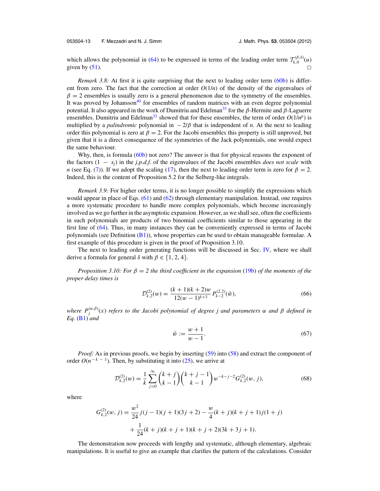<span id="page-14-0"></span>053504-13 F. Mezzadri and N. J. Simm J. Math. Phys. **53**, 053504 (2012)

which allows the polynomial in [\(64\)](#page-13-0) to be expressed in terms of the leading order term  $T_{k,0}^{(\beta,\delta)}(u)$ given by [\(51\)](#page-11-0).  $\Box$ 

*Remark 3.8:* At first it is quite surprising that the next to leading order term [\(60b\)](#page-13-0) is different from zero. The fact that the correction at order  $O(1/n)$  of the density of the eigenvalues of  $\beta = 2$  ensembles is usually zero is a general phenomenon due to the symmetry of the ensembles. It was proved by Johansson<sup>40</sup> for ensembles of random matrices with an even degree polynomial potential. It also appeared in the work of Dumitriu and Edelman<sup>33</sup> for the  $\beta$ -Hermite and  $\beta$ -Laguerre ensembles. Dumitriu and Edelman<sup>33</sup> showed that for these ensembles, the term of order  $O(1/n^p)$  is multiplied by a *palindromic* polynomial in  $-2/\beta$  that is independent of *n*. At the next to leading order this polynomial is zero at  $\beta = 2$ . For the Jacobi ensembles this property is still unproved, but given that it is a direct consequence of the symmetries of the Jack polynomials, one would expect the same behaviour.

Why, then, is formula [\(60b\)](#page-13-0) not zero? The answer is that for physical reasons the exponent of the factors  $(1 - x_i)$  in the *j.p.d.f.* of the eigenvalues of the Jacobi ensembles *does not scale* with *n* (see Eq. [\(7\)](#page-3-0)). If we adopt the scaling [\(17\)](#page-6-0), then the next to leading order term is zero for  $\beta = 2$ . Indeed, this is the content of Proposition 5.2 for the Selberg-like integrals.

*Remark 3.9:* For higher order terms, it is no longer possible to simplify the expressions which would appear in place of Eqs. [\(61\)](#page-13-0) and [\(62\)](#page-13-0) through elementary manipulation. Instead, one requires a more systematic procedure to handle more complex polynomials, which become increasingly involved as we go further in the asymptotic expansion. However, as we shall see, often the coefficients in such polynomials are products of two binomial coefficients similar to those appearing in the first line of [\(64\)](#page-13-0). Thus, in many instances they can be conveniently expressed in terms of Jacobi polynomials (see Definition  $(B1)$ ), whose properties can be used to obtain manageable formulae. A first example of this procedure is given in the proof of Proposition 3.10.

The next to leading order generating functions will be discussed in Sec. [IV,](#page-19-0) where we shall derive a formula for general δ with  $\beta \in \{1, 2, 4\}.$ 

*Proposition 3.10: For*  $\beta = 2$  *the third coefficient in the expansion* [\(19b\)](#page-6-0) *of the moments of the proper delay times is*

$$
\mathcal{D}_{k,2}^{(2)}(w) = \frac{(k+1)(k+2)w}{12(w-1)^{k+3}} P_{k-2}^{(2,2)}(\tilde{w}),\tag{66}
$$

*where P*(α,β) *<sup>j</sup>* (*x*) *refers to the Jacobi polynomial of degree j and parameters* α *and* β *defined in Eq.* [\(B1\)](#page-37-0) *and*

$$
\tilde{w} := \frac{w+1}{w-1}.\tag{67}
$$

*Proof:* As in previous proofs, we begin by inserting [\(59\)](#page-12-0) into [\(58\)](#page-12-0) and extract the component of order  $O(n^{-k-1})$ . Then, by substituting it into [\(25\)](#page-7-0), we arrive at

$$
\mathcal{D}_{k,2}^{(2)}(w) = \frac{1}{k} \sum_{j=0}^{\infty} {k+j \choose k-1} {k+j-1 \choose k-1} w^{-k-j-2} G_{k,2}^{(2)}(w,j),
$$
\n(68)

where

$$
G_{k,2}^{(2)}(w, j) = \frac{w^2}{24}j(j-1)(j+1)(3j+2) - \frac{w}{4}(k+j)(k+j+1)j(1+j) + \frac{1}{24}(k+j)(k+j+1)(k+j+2)(3k+3j+1).
$$

The demonstration now proceeds with lengthy and systematic, although elementary, algebraic manipulations. It is useful to give an example that clarifies the pattern of the calculations. Consider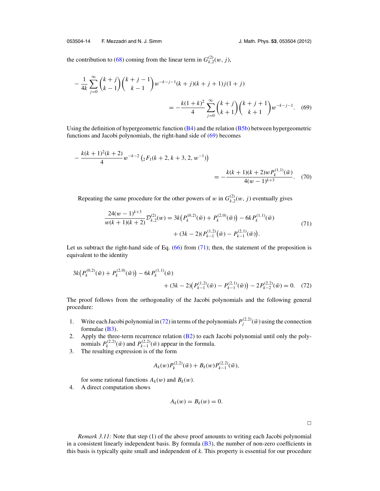<span id="page-15-0"></span>the contribution to [\(68\)](#page-14-0) coming from the linear term in  $G_{k,2}^{(2)}(w, j)$ ,

$$
-\frac{1}{4k} \sum_{j=0}^{\infty} {k+j \choose k-1} {k+j-1 \choose k-1} w^{-k-j-1} (k+j)(k+j+1) j(1+j)
$$
  
= 
$$
-\frac{k(1+k)^2}{4} \sum_{j=0}^{\infty} {k+j \choose k+1} {k+j+1 \choose k+1} w^{-k-j-1}.
$$
 (69)

Using the definition of hypergeometric function  $(B4)$  and the relation  $(B5b)$  between hypergeometric functions and Jacobi polynomials, the right-hand side of (69) becomes

$$
-\frac{k(k+1)^2(k+2)}{4}w^{-k-2}\left({}_2F_1(k+2,k+3,2,w^{-1})\right)
$$
  
= 
$$
-\frac{k(k+1)(k+2)wP_k^{(1,1)}(\tilde{w})}{4(w-1)^{k+3}}.
$$
 (70)

Repeating the same procedure for the other powers of w in  $G_{k,2}^{(2)}(w, j)$  eventually gives

$$
\frac{24(w-1)^{k+3}}{w(k+1)(k+2)}\mathcal{D}_{k,2}^{(2)}(w) = 3k\left(P_k^{(0,2)}(\tilde{w}) + P_k^{(2,0)}(\tilde{w})\right) - 6kP_k^{(1,1)}(\tilde{w}) + (3k-2)(P_{k-1}^{(1,2)}(\tilde{w}) - P_{k-1}^{(2,1)}(\tilde{w})).
$$
\n(71)

Let us subtract the right-hand side of Eq.  $(66)$  from  $(71)$ ; then, the statement of the proposition is equivalent to the identity

$$
3k(P_k^{(0,2)}(\tilde{w}) + P_k^{(2,0)}(\tilde{w})) - 6kP_k^{(1,1)}(\tilde{w}) + (3k-2)(P_{k-1}^{(1,2)}(\tilde{w}) - P_{k-1}^{(2,1)}(\tilde{w})) - 2P_{k-2}^{(2,2)}(\tilde{w}) = 0.
$$
 (72)

The proof follows from the orthogonality of the Jacobi polynomials and the following general procedure:

- 1. Write each Jacobi polynomial in (72) in terms of the polynomials  $P_j^{(2,2)}(\tilde{w})$  using the connection formulae [\(B3\)](#page-37-0).
- 2. Apply the three-term recurrence relation [\(B2\)](#page-37-0) to each Jacobi polynomial until only the polynomials  $P_k^{(2,2)}(\tilde{w})$  and  $P_{k-1}^{(2,2)}(\tilde{w})$  appear in the formula.
- 3. The resulting expression is of the form

$$
A_k(w)P_k^{(2,2)}(\tilde{w})+B_k(w)P_{k-1}^{(2,2)}(\tilde{w}),
$$

for some rational functions  $A_k(w)$  and  $B_k(w)$ .

4. A direct computation shows

$$
A_k(w) = B_k(w) = 0.
$$

*Remark 3.11:* Note that step (1) of the above proof amounts to writing each Jacobi polynomial in a consistent linearly independent basis. By formula  $(B3)$ , the number of non-zero coefficients in this basis is typically quite small and independent of *k*. This property is essential for our procedure

 $\overline{\phantom{0}}$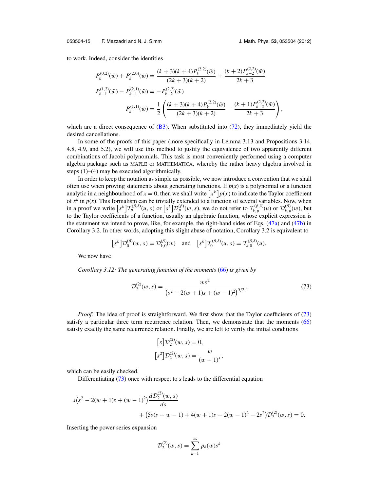to work. Indeed, consider the identities

$$
P_k^{(0,2)}(\tilde{w}) + P_k^{(2,0)}(\tilde{w}) = \frac{(k+3)(k+4)P_k^{(2,2)}(\tilde{w})}{(2k+3)(k+2)} + \frac{(k+2)P_{k-2}^{(2,2)}(\tilde{w})}{2k+3}
$$
  
\n
$$
P_{k-1}^{(1,2)}(\tilde{w}) - P_{k-1}^{(2,1)}(\tilde{w}) = -P_{k-2}^{(2,2)}(\tilde{w})
$$
  
\n
$$
P_k^{(1,1)}(\tilde{w}) = \frac{1}{2} \left( \frac{(k+3)(k+4)P_k^{(2,2)}(\tilde{w})}{(2k+3)(k+2)} - \frac{(k+1)P_{k-2}^{(2,2)}(\tilde{w})}{2k+3} \right),
$$

which are a direct consequence of  $(B3)$ . When substituted into  $(72)$ , they immediately yield the desired cancellations.

In some of the proofs of this paper (more specifically in Lemma 3.13 and Propositions 3.14, 4.8, 4.9, and 5.2), we will use this method to justify the equivalence of two apparently different combinations of Jacobi polynomials. This task is most conveniently performed using a computer algebra package such as MAPLE or MATHEMATICA, whereby the rather heavy algebra involved in steps (1)–(4) may be executed algorithmically.

In order to keep the notation as simple as possible, we now introduce a convention that we shall often use when proving statements about generating functions. If  $p(x)$  is a polynomial or a function analytic in a neighbourhood of  $x = 0$ , then we shall write  $\left[x^k\right]p(x)$  to indicate the Taylor coefficient of  $x^k$  in  $p(x)$ . This formalism can be trivially extended to a function of several variables. Now, when in a proof we write  $\left[s^k\right] T_p^{(\beta,\delta)}(u,s)$  or  $\left[s^k\right] D_p^{(\beta)}(w,s)$ , we do not refer to  $T_{k,p}^{(\beta,\delta)}(u)$  or  $\mathcal{D}_{k,p}^{(\beta)}(w)$ , but to the Taylor coefficients of a function, usually an algebraic function, whose explicit expression is the statement we intend to prove, like, for example, the right-hand sides of Eqs. [\(47a\)](#page-10-0) and [\(47b\)](#page-10-0) in Corollary 3.2. In other words, adopting this slight abuse of notation, Corollary 3.2 is equivalent to

$$
[s^k] \mathcal{D}_0^{(\beta)}(w,s) = \mathcal{D}_{k,0}^{(\beta)}(w) \text{ and } [s^k] \mathcal{T}_0^{(\beta,\delta)}(u,s) = \mathcal{T}_{k,0}^{(\beta,\delta)}(u).
$$

We now have

*Corollary 3.12: The generating function of the moments* [\(66\)](#page-14-0) *is given by*

$$
\mathcal{D}_2^{(2)}(w,s) = \frac{ws^2}{\left(s^2 - 2(w+1)s + (w-1)^2\right)^{5/2}}.\tag{73}
$$

*Proof:* The idea of proof is straightforward. We first show that the Taylor coefficients of (73) satisfy a particular three term recurrence relation. Then, we demonstrate that the moments [\(66\)](#page-14-0) satisfy exactly the same recurrence relation. Finally, we are left to verify the initial conditions

$$
[s] \mathcal{D}_2^{(2)}(w, s) = 0,
$$
  

$$
[s^2] \mathcal{D}_2^{(2)}(w, s) = \frac{w}{(w - 1)^5},
$$

which can be easily checked.

Differentiating (73) once with respect to *s* leads to the differential equation

$$
s(s2 - 2(w + 1)s + (w - 1)2) \frac{dD_2^{(2)}(w, s)}{ds}
$$
  
+  $(5s(s - w - 1) + 4(w + 1)s - 2(w - 1)2 - 2s2)D_2^{(2)}(w, s) = 0.$ 

Inserting the power series expansion

$$
\mathcal{D}_2^{(2)}(w, s) = \sum_{k=1}^{\infty} p_k(w) s^k
$$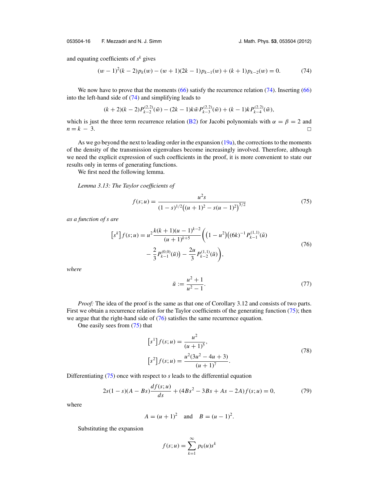<span id="page-17-0"></span>053504-16 F. Mezzadri and N. J. Simm J. Math. Phys. **53**, 053504 (2012)

and equating coefficients of  $s^k$  gives

$$
(w-1)^{2}(k-2)p_{k}(w)-(w+1)(2k-1)p_{k-1}(w)+(k+1)p_{k-2}(w)=0.
$$
 (74)

We now have to prove that the moments [\(66\)](#page-14-0) satisfy the recurrence relation (74). Inserting (66) into the left-hand side of (74) and simplifying leads to

$$
(k+2)(k-2)P_{k-2}^{(2,2)}(\tilde{w})-(2k-1)k\tilde{w}P_{k-3}^{(2,2)}(\tilde{w})+(k-1)kP_{k-4}^{(2,2)}(\tilde{w}),
$$

which is just the three term recurrence relation [\(B2\)](#page-37-0) for Jacobi polynomials with  $\alpha = \beta = 2$  and  $n = k - 3.$  $\Box$ 

As we go beyond the next to leading order in the expansion [\(19a\)](#page-6-0), the corrections to the moments of the density of the transmission eigenvalues become increasingly involved. Therefore, although we need the explicit expression of such coefficients in the proof, it is more convenient to state our results only in terms of generating functions.

We first need the following lemma.

*Lemma 3.13: The Taylor coefficients of*

$$
f(s; u) = \frac{u^2 s}{(1 - s)^{1/2} ((u + 1)^2 - s(u - 1)^2)^{5/2}}
$$
(75)

*as a function of s are*

$$
[s^{k}] f(s; u) = u^{2} \frac{k(k+1)(u-1)^{k-2}}{(u+1)^{k+5}} \left( (1-u^{2}) \left( (6k)^{-1} P_{k-1}^{(1,1)}(\tilde{u}) - \frac{2}{3} P_{k-1}^{(0,0)}(\tilde{u}) \right) - \frac{2u}{3} P_{k-2}^{(1,1)}(\tilde{u}) \right),
$$
\n(76)

*where*

$$
\tilde{u} := \frac{u^2 + 1}{u^2 - 1}.\tag{77}
$$

*Proof:* The idea of the proof is the same as that one of Corollary 3.12 and consists of two parts. First we obtain a recurrence relation for the Taylor coefficients of the generating function (75); then we argue that the right-hand side of  $(76)$  satisfies the same recurrence equation.

One easily sees from (75) that

$$
[s1]f(s; u) = \frac{u2}{(u + 1)5},
$$
  
\n
$$
[s2]f(s; u) = \frac{u2(3u2 - 4u + 3)}{(u + 1)7}.
$$
\n(78)

Differentiating (75) once with respect to *s* leads to the differential equation

$$
2s(1-s)(A - Bs)\frac{df(s;u)}{ds} + (4Bs^2 - 3Bs + As - 2A)f(s;u) = 0,\t(79)
$$

where

$$
A = (u + 1)^2
$$
 and  $B = (u - 1)^2$ .

Substituting the expansion

$$
f(s; u) = \sum_{k=1}^{\infty} p_k(u)s^k
$$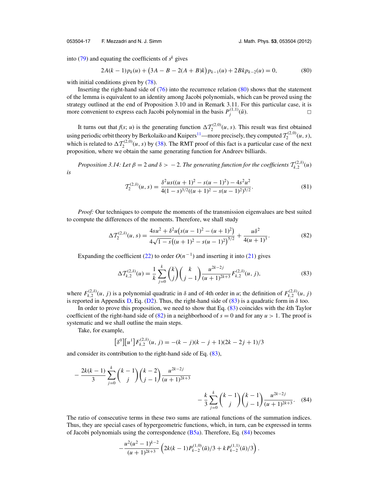<span id="page-18-0"></span>053504-17 F. Mezzadri and N. J. Simm J. Math. Phys. **53**, 053504 (2012)

into  $(79)$  and equating the coefficients of  $s<sup>k</sup>$  gives

$$
2A(k-1)pk(u) + (3A - B - 2(A + B)k)pk-1(u) + 2Bkpk-2(u) = 0,
$$
 (80)

with initial conditions given by  $(78)$ .

Inserting the right-hand side of [\(76\)](#page-17-0) into the recurrence relation (80) shows that the statement of the lemma is equivalent to an identity among Jacobi polynomials, which can be proved using the strategy outlined at the end of Proposition 3.10 and in Remark 3.11. For this particular case, it is more convenient to express each Jacobi polynomial in the basis  $P_j^{(1,1)}(\tilde{u})$ .

It turns out that  $f(s; u)$  is the generating function  $\Delta T_2^{(2,0)}(u, s)$ . This result was first obtained using periodic orbit theory by Berkolaiko and Kuipers<sup>11</sup>—more precisely, they computed  $\mathcal{T}_2^{(2,0)}(u,s)$ , which is related to  $\Delta T_2^{(2,0)}(u,s)$  by [\(38\)](#page-9-0). The RMT proof of this fact is a particular case of the next proposition, where we obtain the same generating function for Andreev billiards.

*Proposition 3.14: Let*  $\beta = 2$  *and*  $\delta > -2$ . *The generating function for the coefficients*  $T_{k,2}^{(2,\delta)}(u)$ *is*

$$
T_2^{(2,\delta)}(u,s) = \frac{\delta^2 u s ((u+1)^2 - s(u-1)^2) - 4s^2 u^2}{4(1-s)^{3/2}((u+1)^2 - s(u-1)^2)^{5/2}}.
$$
\n(81)

*Proof:* Our techniques to compute the moments of the transmission eigenvalues are best suited to compute the differences of the moments. Therefore, we shall study

$$
\Delta \mathcal{T}_2^{(2,\delta)}(u,s) = \frac{4su^2 + \delta^2 u \left( s(u-1)^2 - (u+1)^2 \right)}{4\sqrt{1-s} \left( (u+1)^2 - s(u-1)^2 \right)^{5/2}} + \frac{u\delta^2}{4(u+1)^3}.
$$
\n(82)

Expanding the coefficient [\(22\)](#page-7-0) to order  $O(n^{-1})$  and inserting it into [\(21\)](#page-7-0) gives

$$
\Delta \mathcal{T}_{k,2}^{(2,\delta)}(u) = \frac{1}{k} \sum_{j=0}^{k} {k \choose j} {k \choose j-1} \frac{u^{2k-2j}}{(u+1)^{2k+3}} F_{k,2}^{(2,\delta)}(u, j),
$$
(83)

where  $F_{k,2}^{(2,\delta)}(u, j)$  is a polynomial quadratic in  $\delta$  and of 4th order in *u*; the definition of  $F_{k,2}^{(2,\delta)}(u, j)$ is reported in Appendix [D,](#page-39-0) Eq. [\(D2\)](#page-40-0). Thus, the right-hand side of (83) is a quadratic form in  $\delta$  too.

In order to prove this proposition, we need to show that Eq. (83) coincides with the *k*th Taylor coefficient of the right-hand side of  $(82)$  in a neighborhood of  $s = 0$  and for any  $u > 1$ . The proof is systematic and we shall outline the main steps.

Take, for example,

$$
[\delta^0][u^1]F_{k,2}^{(2,\delta)}(u,j) = -(k-j)(k-j+1)(2k-2j+1)/3
$$

and consider its contribution to the right-hand side of Eq. (83),

$$
-\frac{2k(k-1)}{3}\sum_{j=0}^{k} {k-1 \choose j} {k-2 \choose j-1} \frac{u^{2k-2j}}{(u+1)^{2k+3}} -\frac{k}{3}\sum_{j=0}^{k} {k-1 \choose j} {k-1 \choose j-1} \frac{u^{2k-2j}}{(u+1)^{2k+3}}.
$$
 (84)

The ratio of consecutive terms in these two sums are rational functions of the summation indices. Thus, they are special cases of hypergeometric functions, which, in turn, can be expressed in terms of Jacobi polynomials using the correspondence  $(B5a)$ . Therefore, Eq.  $(84)$  becomes

$$
-\frac{u^2(u^2-1)^{k-2}}{(u+1)^{2k+3}}\left(2k(k-1)P_{k-2}^{(1,0)}(\tilde{u})/3+kP_{k-2}^{(1,1)}(\tilde{u})/3\right).
$$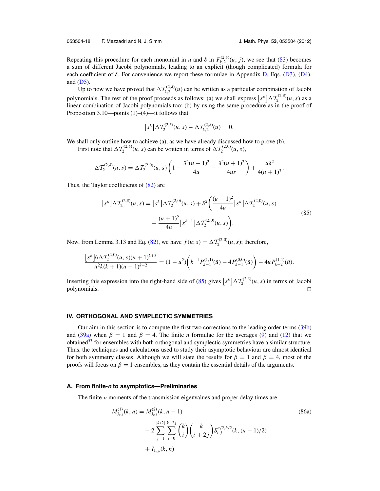<span id="page-19-0"></span>053504-18 F. Mezzadri and N. J. Simm J. Math. Phys. **53**, 053504 (2012)

Repeating this procedure for each monomial in *u* and  $\delta$  in  $F_{k,2}^{(2,\delta)}(u, j)$ , we see that [\(83\)](#page-18-0) becomes a sum of different Jacobi polynomials, leading to an explicit (though complicated) formula for each coefficient of  $\delta$ . For convenience we report these formulae in Appendix [D,](#page-39-0) Eqs. [\(D3\)](#page-40-0), [\(D4\)](#page-41-0), and  $(D5)$ .

Up to now we have proved that  $\Delta T_{k,2}^{(2,\delta)}(\mu)$  can be written as a particular combination of Jacobi polynomials. The rest of the proof proceeds as follows: (a) we shall express  $\left[s^k\right] \Delta \mathcal{T}_2^{(2,\delta)}(u,s)$  as a linear combination of Jacobi polynomials too; (b) by using the same procedure as in the proof of Proposition 3.10—points (1)–(4)—it follows that

$$
[s^{k}] \Delta \mathcal{T}_{2}^{(2,\delta)}(u,s) - \Delta \mathcal{T}_{k,2}^{(2,\delta)}(u) = 0.
$$

We shall only outline how to achieve (a), as we have already discussed how to prove (b).

First note that  $\Delta T_2^{(2, \delta)}(u, s)$  can be written in terms of  $\Delta T_2^{(2, 0)}(u, s)$ ,

$$
\Delta \mathcal{T}_2^{(2,\delta)}(u,s) = \Delta \mathcal{T}_2^{(2,0)}(u,s) \left(1 + \frac{\delta^2 (u-1)^2}{4u} - \frac{\delta^2 (u+1)^2}{4us}\right) + \frac{u \delta^2}{4(u+1)^3}.
$$

Thus, the Taylor coefficients of [\(82\)](#page-18-0) are

$$
[s^{k}] \Delta \mathcal{T}_{2}^{(2,\delta)}(u,s) = [s^{k}] \Delta \mathcal{T}_{2}^{(2,0)}(u,s) + \delta^{2} \left( \frac{(u-1)^{2}}{4u} [s^{k}] \Delta \mathcal{T}_{2}^{(2,0)}(u,s) - \frac{(u+1)^{2}}{4u} [s^{k+1}] \Delta \mathcal{T}_{2}^{(2,0)}(u,s) \right).
$$
\n(85)

Now, from Lemma 3.13 and Eq. [\(82\)](#page-18-0), we have  $f(u; s) = \Delta T_2^{(2,0)}(u, s)$ ; therefore,

$$
\frac{\left[s^k\right]6\Delta \mathcal{T}_2^{(2,0)}(u,s)(u+1)^{k+5}}{u^2k(k+1)(u-1)^{k-2}} = (1-u^2)\left(k^{-1}P_{k-1}^{(1,1)}(\tilde{u}) - 4P_{k-1}^{(0,0)}(\tilde{u})\right) - 4u P_{k-2}^{(1,1)}(\tilde{u}).
$$

Inserting this expression into the right-hand side of (85) gives  $[s^k] \Delta \mathcal{T}_2^{(2,\delta)}(u, s)$  in terms of Jacobi  $p$ olynomials.  $\Box$  $\Box$ 

#### **IV. ORTHOGONAL AND SYMPLECTIC SYMMETRIES**

Our aim in this section is to compute the first two corrections to the leading order terms [\(39b\)](#page-9-0) and [\(39a\)](#page-9-0) when  $\beta = 1$  and  $\beta = 4$ . The finite *n* formulae for the averages [\(9\)](#page-3-0) and [\(12\)](#page-4-0) that we obtained $53$  for ensembles with both orthogonal and symplectic symmetries have a similar structure. Thus, the techniques and calculations used to study their asymptotic behaviour are almost identical for both symmetry classes. Although we will state the results for  $\beta = 1$  and  $\beta = 4$ , most of the proofs will focus on  $\beta = 1$  ensembles, as they contain the essential details of the arguments.

#### **A. From finite-<sup>n</sup> to asymptotics—Preliminaries**

The finite-*n* moments of the transmission eigenvalues and proper delay times are

$$
M_{J_{a,b}}^{(1)}(k, n) = M_{J_{a,b}}^{(2)}(k, n - 1)
$$
\n
$$
- 2 \sum_{j=1}^{\lfloor k/2 \rfloor} \sum_{i=0}^{k-2j} {k \choose i} {k \choose i+2j} S_{i,j}^{a/2, b/2}(k, (n - 1)/2)
$$
\n
$$
+ I_{J_{a,b}}(k, n)
$$
\n(86a)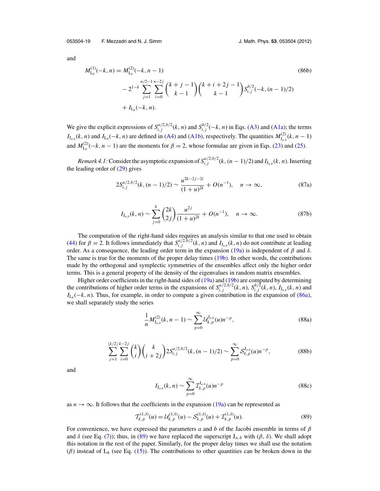<span id="page-20-0"></span>053504-19 F. Mezzadri and N. J. Simm J. Math. Phys. **53**, 053504 (2012)

and

$$
M_{L_b}^{(1)}(-k, n) = M_{L_b}^{(2)}(-k, n - 1)
$$
\n
$$
-2^{1-k} \sum_{j=1}^{n/2-1} \sum_{i=0}^{n-2j} {k+j-1 \choose k-1} {k+i+2j-1 \choose k-1} S_{i,j}^{b/2}(-k, (n-1)/2)
$$
\n
$$
+ I_{L_b}(-k, n).
$$
\n(86b)

We give the explicit expressions of  $S_{i,j}^{a/2,b/2}(k, n)$  and  $S_{i,j}^{b/2}(-k, n)$  in Eqs. [\(A3\)](#page-36-0) and [\(A1a\)](#page-36-0); the terms *I*<sub>J<sub>*a*,*b*</sub></sub>(*k*, *n*) and *I*<sub>L*b*</sub>(−*k*, *n*) are defined in [\(A4\)](#page-36-0) and [\(A1b\)](#page-36-0), respectively. The quantities  $M_{J_{a,b}}^{(2)}(k, n - 1)$ and  $M_{\text{L}_b}^{(2)}(-k, n-1)$  are the moments for  $\beta = 2$ , whose formulae are given in Eqs. [\(23\)](#page-7-0) and [\(25\)](#page-7-0).

*Remark 4.1*: Consider the asymptotic expansion of  $S_{i,j}^{a/2,b/2}(k,(n-1)/2)$  and  $I_{J_{a,b}}(k,n)$ . Inserting the leading order of  $(29)$  gives

$$
2S_{i,j}^{a/2,b/2}(k,(n-1)/2) \sim \frac{u^{2k-2j-2i}}{(1+u)^{2k}} + O(n^{-1}), \quad n \to \infty,
$$
 (87a)

$$
I_{J_{a,b}}(k,n) \sim \sum_{j=0}^{k} {2k \choose 2j} \frac{u^{2j}}{(1+u)^{2k}} + O(n^{-1}), \quad n \to \infty.
$$
 (87b)

The computation of the right-hand sides requires an analysis similar to that one used to obtain [\(44\)](#page-10-0) for  $\beta = 2$ . It follows immediately that  $S_{i,j}^{a/2,b/2}(k, n)$  and  $I_{J_{a,b}}(k, n)$  do not contribute at leading order. As a consequence, the leading order term in the expansion [\(19a\)](#page-6-0) is independent of β and δ. The same is true for the moments of the proper delay times [\(19b\)](#page-6-0). In other words, the contributions made by the orthogonal and symplectic symmetries of the ensembles affect only the higher order terms. This is a general property of the density of the eigenvalues in random matrix ensembles.

Higher order coefficients in the right-hand sides of [\(19a\)](#page-6-0) and [\(19b\)](#page-6-0) are computed by determining the contributions of higher order terms in the expansions of  $S_{i,j}^{a/2,b/2}(k,n)$ ,  $S_{i,j}^{b/2}(k,n)$ ,  $I_{J_{a,b}}(k,n)$  and  $I_{L_b}(-k, n)$ . Thus, for example, in order to compute a given contribution in the expansion of [\(86a\)](#page-19-0), we shall separately study the series

$$
\frac{1}{n} M_{J_{a,b}}^{(2)}(k, n-1) \sim \sum_{p=0}^{\infty} \mathcal{U}_{k,p}^{J_{a,b}}(u) n^{-p},
$$
\n(88a)

$$
\sum_{j=1}^{\lfloor k/2 \rfloor} \sum_{i=0}^{k-2j} {k \choose i} {k \choose i+2j} 2S_{i,j}^{a/2,b/2}(k, (n-1)/2) \sim \sum_{p=0}^{\infty} S_{k,p}^{J_{a,b}}(u) n^{-p},
$$
 (88b)

and

$$
I_{J_{a,b}}(k,n) \sim \sum_{p=0}^{\infty} \mathcal{I}_{k,p}^{J_{a,b}}(u)n^{-p}
$$
 (88c)

as  $n \to \infty$ . It follows that the coefficients in the expansion [\(19a\)](#page-6-0) can be represented as

$$
\mathcal{T}_{k,p}^{(1,\delta)}(u) = \mathcal{U}_{k,p}^{(1,\delta)}(u) - \mathcal{S}_{k,p}^{(1,\delta)}(u) + \mathcal{I}_{k,p}^{(1,\delta)}(u). \tag{89}
$$

For convenience, we have expressed the parameters *a* and *b* of the Jacobi ensemble in terms of  $\beta$ and  $\delta$  (see Eq. [\(7\)](#page-3-0)); thus, in (89) we have replaced the superscript  $J_{a,b}$  with ( $\beta$ ,  $\delta$ ). We shall adopt this notation in the rest of the paper. Similarly, for the proper delay times we shall use the notation ( $\beta$ ) instead of L<sub>b</sub> (see Eq. [\(15\)](#page-5-0)). The contributions to other quantities can be broken down in the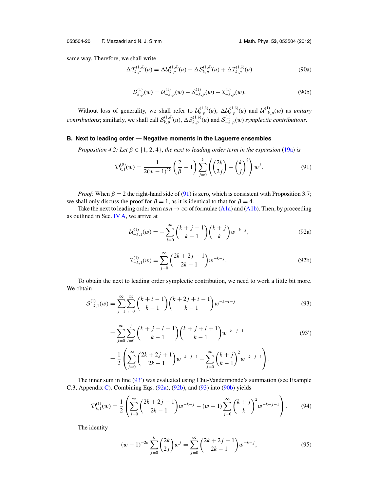<span id="page-21-0"></span>same way. Therefore, we shall write

$$
\Delta \mathcal{T}_{k,p}^{(1,\delta)}(u) = \Delta \mathcal{U}_{k,p}^{(1,\delta)}(u) - \Delta \mathcal{S}_{k,p}^{(1,\delta)}(u) + \Delta \mathcal{I}_{k,p}^{(1,\delta)}(u)
$$
(90a)

$$
\mathcal{D}_{k,p}^{(1)}(w) = \mathcal{U}_{-k,p}^{(1)}(w) - \mathcal{S}_{-k,p}^{(1)}(w) + \mathcal{I}_{-k,p}^{(1)}(w).
$$
\n(90b)

Without loss of generality, we shall refer to  $\mathcal{U}_{k,p}^{(1,\delta)}(u)$ ,  $\Delta \mathcal{U}_{k,p}^{(1,\delta)}(u)$  and  $\mathcal{U}_{-k,p}^{(1)}(w)$  as *unitary contributions*; similarly, we shall call  $\mathcal{S}_{k,p}^{(1,\delta)}(u)$ ,  $\Delta \mathcal{S}_{k,p}^{(1,\delta)}(u)$  and  $\mathcal{S}_{-k,p}^{(1)}(w)$  symplectic contributions.

#### **B. Next to leading order — Negative moments in the Laguerre ensembles**

*Proposition 4.2: Let*  $\beta \in \{1, 2, 4\}$ , *the next to leading order term in the expansion* [\(19a\)](#page-6-0) *is* 

$$
\mathcal{D}_{k,1}^{(\beta)}(w) = \frac{1}{2(w-1)^{2k}} \left(\frac{2}{\beta} - 1\right) \sum_{j=0}^{k} \left(\binom{2k}{2j} - \binom{k}{j}^2\right) w^j. \tag{91}
$$

*Proof:* When  $\beta = 2$  the right-hand side of (91) is zero, which is consistent with Proposition 3.7; we shall only discuss the proof for  $\beta = 1$ , as it is identical to that for  $\beta = 4$ .

Take the next to leading order term as  $n \to \infty$  of formulae [\(A1a\)](#page-36-0) and [\(A1b\)](#page-36-0). Then, by proceeding as outlined in Sec. [IV A,](#page-19-0) we arrive at

$$
\mathcal{U}_{-k,1}^{(1)}(w) = -\sum_{j=0}^{\infty} {k+j-1 \choose k-1} {k+j \choose k} w^{-k-j}, \tag{92a}
$$

$$
\mathcal{I}_{-k,1}^{(1)}(w) = \sum_{j=0}^{\infty} {2k + 2j - 1 \choose 2k - 1} w^{-k - j}.
$$
 (92b)

To obtain the next to leading order symplectic contribution, we need to work a little bit more. We obtain

$$
S_{-k,1}^{(1)}(w) = \sum_{j=1}^{\infty} \sum_{i=0}^{\infty} {k+i-1 \choose k-1} {k+2j+i-1 \choose k-1} w^{-k-i-j}
$$
(93)

$$
= \sum_{j=0}^{\infty} \sum_{i=0}^{j} {k+j-i-1 \choose k-1} {k+j+i+1 \choose k-1} w^{-k-j-1}
$$
(93')  

$$
= \frac{1}{2} \left( \sum_{j=0}^{\infty} {2k+2j+1 \choose 2k-1} w^{-k-j-1} - \sum_{j=0}^{\infty} {k+j \choose k-1}^2 w^{-k-j-1} \right).
$$

The inner sum in line (93') was evaluated using Chu-Vandermonde's summation (see Example C.3, Appendix [C\)](#page-37-0). Combining Eqs.  $(92a)$ ,  $(92b)$ , and  $(93)$  into  $(90b)$  yields

$$
\mathcal{D}_{k,1}^{(1)}(w) = \frac{1}{2} \left( \sum_{j=0}^{\infty} {2k + 2j - 1 \choose 2k - 1} w^{-k-j} - (w - 1) \sum_{j=0}^{\infty} {k + j \choose k}^2 w^{-k-j-1} \right).
$$
 (94)

The identity

$$
(w-1)^{-2k} \sum_{j=0}^{k} {2k \choose 2j} w^j = \sum_{j=0}^{\infty} {2k+2j-1 \choose 2k-1} w^{-k-j}, \qquad (95)
$$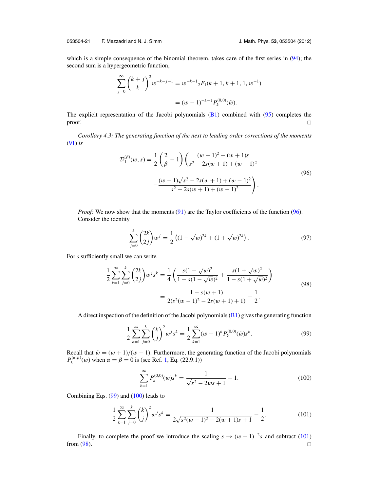<span id="page-22-0"></span>which is a simple consequence of the binomial theorem, takes care of the first series in [\(94\)](#page-21-0); the second sum is a hypergeometric function,

$$
\sum_{j=0}^{\infty} {k+j \choose k}^2 w^{-k-j-1} = w^{-k-1} {}_2F_1(k+1, k+1, 1, w^{-1})
$$
  
=  $(w-1)^{-k-1} P_k^{(0,0)}(\tilde{w}).$ 

The explicit representation of the Jacobi polynomials  $(B1)$  combined with  $(95)$  completes the  $\Box$  $\Box$ 

*Corollary 4.3: The generating function of the next to leading order corrections of the moments* [\(91\)](#page-21-0) *is*

$$
\mathcal{D}_1^{(\beta)}(w, s) = \frac{1}{2} \left( \frac{2}{\beta} - 1 \right) \left( \frac{(w - 1)^2 - (w + 1)s}{s^2 - 2s(w + 1) + (w - 1)^2} - \frac{(w - 1)\sqrt{s^2 - 2s(w + 1) + (w - 1)^2}}{s^2 - 2s(w + 1) + (w - 1)^2} \right).
$$
\n(96)

*Proof:* We now show that the moments [\(91\)](#page-21-0) are the Taylor coefficients of the function (96). Consider the identity

$$
\sum_{j=0}^{k} {2k \choose 2j} w^j = \frac{1}{2} \left( (1 - \sqrt{w})^{2k} + (1 + \sqrt{w})^{2k} \right). \tag{97}
$$

For *s* sufficiently small we can write

$$
\frac{1}{2} \sum_{k=1}^{\infty} \sum_{j=0}^{k} {2k \choose 2j} w^j s^k = \frac{1}{4} \left( \frac{s(1-\sqrt{w})^2}{1-s(1-\sqrt{w})^2} + \frac{s(1+\sqrt{w})^2}{1-s(1+\sqrt{w})^2} \right)
$$

$$
= \frac{1-s(w+1)}{2(s^2(w-1)^2 - 2s(w+1)+1)} - \frac{1}{2}.
$$
\n(98)

A direct inspection of the definition of the Jacobi polynomials  $(B1)$  gives the generating function

$$
\frac{1}{2} \sum_{k=1}^{\infty} \sum_{j=0}^{k} {k \choose j}^{2} w^{j} s^{k} = \frac{1}{2} \sum_{k=1}^{\infty} (w-1)^{k} P_{k}^{(0,0)}(\tilde{w}) s^{k}.
$$
\n(99)

Recall that  $\tilde{w} = (w + 1)/(w - 1)$ . Furthermore, the generating function of the Jacobi polynomials  $P_k^{(\alpha,\beta)}(w)$  when  $\alpha = \beta = 0$  is (see Ref. [1,](#page-41-0) Eq. (22.9.1))

$$
\sum_{k=1}^{\infty} P_k^{(0,0)}(w)s^k = \frac{1}{\sqrt{s^2 - 2ws + 1}} - 1.
$$
\n(100)

Combining Eqs. (99) and (100) leads to

$$
\frac{1}{2}\sum_{k=1}^{\infty}\sum_{j=0}^{k} {k \choose j}^{2}w^{j}s^{k} = \frac{1}{2\sqrt{s^{2}(w-1)^{2}-2(w+1)s+1}} - \frac{1}{2}.
$$
\n(101)

Finally, to complete the proof we introduce the scaling  $s \to (w-1)^{-2}$ *s* and subtract (101) from  $(98)$ .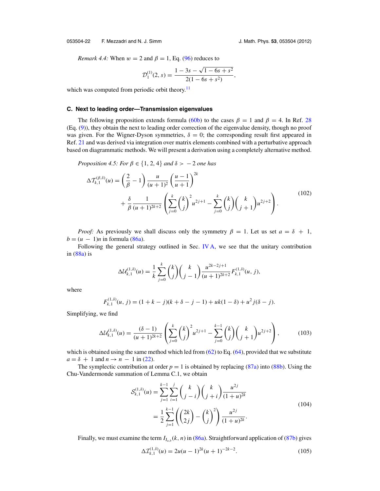#### <span id="page-23-0"></span>053504-22 F. Mezzadri and N. J. Simm J. Math. Phys. **53**, 053504 (2012)

*Remark 4.4:* When  $w = 2$  and  $\beta = 1$ , Eq. [\(96\)](#page-22-0) reduces to

$$
\mathcal{D}_1^{(1)}(2,s) = \frac{1 - 3s - \sqrt{1 - 6s + s^2}}{2(1 - 6s + s^2)},
$$

which was computed from periodic orbit theory. $\frac{11}{11}$  $\frac{11}{11}$  $\frac{11}{11}$ 

#### **C. Next to leading order—Transmission eigenvalues**

The following proposition extends formula [\(60b\)](#page-13-0) to the cases  $\beta = 1$  and  $\beta = 4$ . In Ref. [28](#page-42-0) (Eq. [\(9\)](#page-3-0)), they obtain the next to leading order correction of the eigenvalue density, though no proof was given. For the Wigner-Dyson symmetries,  $\delta = 0$ ; the corresponding result first appeared in Ref. [21](#page-41-0) and was derived via integration over matrix elements combined with a perturbative approach based on diagrammatic methods. We will present a derivation using a completely alternative method.

*Proposition 4.5: For*  $\beta \in \{1, 2, 4\}$  *and*  $\delta > -2$  *one has* 

$$
\Delta \mathcal{T}_{k,1}^{(\beta,\delta)}(u) = \left(\frac{2}{\beta} - 1\right) \frac{u}{(u+1)^2} \left(\frac{u-1}{u+1}\right)^{2k} + \frac{\delta}{\beta} \frac{1}{(u+1)^{2k+2}} \left(\sum_{j=0}^k {k \choose j}^2 u^{2j+1} - \sum_{j=0}^k {k \choose j} {k \choose j+1} u^{2j+2}\right).
$$
\n(102)

*Proof:* As previously we shall discuss only the symmetry  $\beta = 1$ . Let us set  $a = \delta + 1$ ,  $b = (u - 1)n$  in formula [\(86a\)](#page-19-0).

Following the general strategy outlined in Sec. [IV A,](#page-19-0) we see that the unitary contribution in  $(88a)$  is

$$
\Delta \mathcal{U}_{k,1}^{(1,\delta)}(u) = \frac{1}{k} \sum_{j=0}^{k} {k \choose j} {k \choose j-1} \frac{u^{2k-2j+1}}{(u+1)^{2k+2}} F_{k,1}^{(1,\delta)}(u, j),
$$

where

$$
F_{k,1}^{(1,\delta)}(u,j) = (1 + k - j)(k + \delta - j - 1) + uk(1 - \delta) + u^2 j(\delta - j).
$$

Simplifying, we find

$$
\Delta \mathcal{U}_{k,1}^{(1,\delta)}(u) = \frac{(\delta - 1)}{(u+1)^{2k+2}} \left( \sum_{j=0}^k \binom{k}{j}^2 u^{2j+1} - \sum_{j=0}^{k-1} \binom{k}{j} \binom{k}{j+1} u^{2j+2} \right),\tag{103}
$$

which is obtained using the same method which led from  $(62)$  to Eq.  $(64)$ , provided that we substitute  $a = \delta + 1$  and  $n \rightarrow n - 1$  in [\(22\)](#page-7-0).

The symplectic contribution at order  $p = 1$  is obtained by replacing [\(87a\)](#page-20-0) into [\(88b\)](#page-20-0). Using the Chu-Vandermonde summation of Lemma C.1, we obtain

$$
\mathcal{S}_{k,1}^{(1,\delta)}(u) = \sum_{j=1}^{k-1} \sum_{i=1}^{j} {k \choose j-i} {k \choose j+i} \frac{u^{2j}}{(1+u)^{2k}}
$$
  
= 
$$
\frac{1}{2} \sum_{j=1}^{k-1} {2k \choose 2j} - {k \choose j}^2 \frac{u^{2j}}{(1+u)^{2k}}.
$$
 (104)

Finally, we must examine the term  $I_{J_a}$  ( $k$ ,  $n$ ) in [\(86a\)](#page-19-0). Straightforward application of [\(87b\)](#page-20-0) gives

$$
\Delta \mathcal{I}_{k,1}^{(1,\delta)}(u) = 2u(u-1)^{2k}(u+1)^{-2k-2}.
$$
\n(105)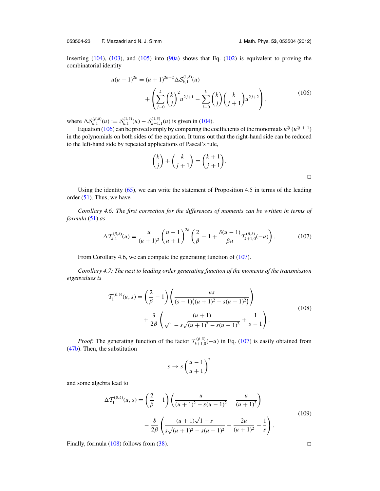053504-23 F. Mezzadri and N. J. Simm J. Math. Phys. **53**, 053504 (2012)

Inserting [\(104\)](#page-23-0), [\(103\)](#page-23-0), and [\(105\)](#page-23-0) into [\(90a\)](#page-21-0) shows that Eq. [\(102\)](#page-23-0) is equivalent to proving the combinatorial identity

$$
u(u-1)^{2k} = (u+1)^{2k+2} \Delta S_{k,1}^{(1,\delta)}(u)
$$
  
+ 
$$
\left(\sum_{j=0}^k {k \choose j}^2 u^{2j+1} - \sum_{j=0}^k {k \choose j} {k \choose j+1} u^{2j+2}\right),
$$
(106)

where  $\Delta S_{k,1}^{(\beta,\delta)}(u) := S_{k,1}^{(1,\delta)}(u) - S_{k+1,1}^{(1,\delta)}(u)$  is given in [\(104\)](#page-23-0).

Equation (106) can be proved simply by comparing the coefficients of the monomials  $u^{2j} (u^{2j+1})$ in the polynomials on both sides of the equation. It turns out that the right-hand side can be reduced to the left-hand side by repeated applications of Pascal's rule,

$$
\binom{k}{j} + \binom{k}{j+1} = \binom{k+1}{j+1}.
$$

Using the identity [\(65\)](#page-13-0), we can write the statement of Proposition 4.5 in terms of the leading order  $(51)$ . Thus, we have

*Corollary 4.6: The first correction for the differences of moments can be written in terms of formula* [\(51\)](#page-11-0) *as*

$$
\Delta \mathcal{T}_{k,1}^{(\beta,\delta)}(u) = \frac{u}{(u+1)^2} \left(\frac{u-1}{u+1}\right)^{2k} \left(\frac{2}{\beta} - 1 + \frac{\delta(u-1)}{\beta u} \mathcal{T}_{k+1,0}^{(\beta,\delta)}(-u)\right). \tag{107}
$$

From Corollary 4.6, we can compute the generating function of  $(107)$ .

*Corollary 4.7: The next to leading order generating function of the moments of the transmission eigenvalues is*

$$
\mathcal{T}_1^{(\beta,\delta)}(u,s) = \left(\frac{2}{\beta} - 1\right) \left(\frac{us}{(s-1)((u+1)^2 - s(u-1)^2)}\right) + \frac{\delta}{2\beta} \left(\frac{(u+1)}{\sqrt{1 - s}\sqrt{(u+1)^2 - s(u-1)^2}} + \frac{1}{s-1}\right).
$$
\n(108)

*Proof:* The generating function of the factor  $T_{k+1,0}^{(\beta,\delta)}(-u)$  in Eq. (107) is easily obtained from [\(47b\)](#page-10-0). Then, the substitution

$$
s \to s \left(\frac{u-1}{u+1}\right)^2
$$

and some algebra lead to

$$
\Delta \mathcal{T}_1^{(\beta,\delta)}(u,s) = \left(\frac{2}{\beta} - 1\right) \left(\frac{u}{(u+1)^2 - s(u-1)^2} - \frac{u}{(u+1)^2}\right) \n- \frac{\delta}{2\beta} \left(\frac{(u+1)\sqrt{1-s}}{s\sqrt{(u+1)^2 - s(u-1)^2}} + \frac{2u}{(u+1)^2} - \frac{1}{s}\right).
$$
\n(109)

Finally, formula (108) follows from [\(38\)](#page-9-0).  $\Box$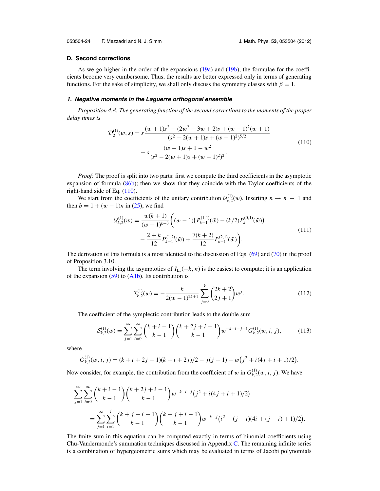#### <span id="page-25-0"></span>**D. Second corrections**

As we go higher in the order of the expansions [\(19a\)](#page-6-0) and [\(19b\)](#page-6-0), the formulae for the coefficients become very cumbersome. Thus, the results are better expressed only in terms of generating functions. For the sake of simplicity, we shall only discuss the symmetry classes with  $\beta = 1$ .

#### **1. Negative moments in the Laguerre orthogonal ensemble**

*Proposition 4.8: The generating function of the second corrections to the moments of the proper delay times is*

$$
\mathcal{D}_2^{(1)}(w, s) = s \frac{(w+1)s^2 - (2w^2 - 3w + 2)s + (w-1)^2(w+1)}{(s^2 - 2(w+1)s + (w-1)^2)^{5/2}}
$$
  
+ 
$$
s \frac{(w-1)s + 1 - w^2}{(s^2 - 2(w+1)s + (w-1)^2)^2}.
$$
 (110)

*Proof:* The proof is split into two parts: first we compute the third coefficients in the asymptotic expansion of formula [\(86b\)](#page-20-0); then we show that they coincide with the Taylor coefficients of the right-hand side of Eq. (110).

We start from the coefficients of the unitary contribution  $\mathcal{U}_{k,2}^{(1)}(w)$ . Inserting  $n \to n - 1$  and then  $b = 1 + (w - 1)n$  in [\(25\)](#page-7-0), we find

$$
\mathcal{U}_{k,2}^{(1)}(w) = \frac{w(k+1)}{(w-1)^{k+3}} \bigg( (w-1) \big( P_{k-1}^{(1,1)}(\tilde{w}) - (k/2) P_k^{(0,1)}(\tilde{w}) \big) - \frac{2+k}{12} P_{k-1}^{(1,2)}(\tilde{w}) + \frac{7(k+2)}{12} P_{k-1}^{(2,1)}(\tilde{w}) \bigg). \tag{111}
$$

The derivation of this formula is almost identical to the discussion of Eqs. [\(69\)](#page-15-0) and [\(70\)](#page-15-0) in the proof of Proposition 3.10.

The term involving the asymptotics of  $I_{L_b}(-k, n)$  is the easiest to compute; it is an application of the expansion  $(59)$  to  $(A1b)$ . Its contribution is

$$
\mathcal{I}_{k,2}^{(1)}(w) = -\frac{k}{2(w-1)^{2k+1}} \sum_{j=0}^{k} {2k+2 \choose 2j+1} w^j.
$$
 (112)

The coefficient of the symplectic contribution leads to the double sum

$$
\mathcal{S}_{k,2}^{(1)}(w) = \sum_{j=1}^{\infty} \sum_{i=0}^{\infty} {k+i-1 \choose k-1} {k+2j+i-1 \choose k-1} w^{-k-i-j-1} G_{k,2}^{(1)}(w,i,j),
$$
 (113)

where

$$
G_{k,2}^{(1)}(w,i,j) = (k+i+2j-1)(k+i+2j)/2 - j(j-1) - w(j^2+i(4j+i+1)/2).
$$

Now consider, for example, the contribution from the coefficient of w in  $G_{k,2}^{(1)}(w, i, j)$ . We have

$$
\sum_{j=1}^{\infty} \sum_{i=0}^{\infty} {k+i-1 \choose k-1} {k+2j+i-1 \choose k-1} w^{-k-i-j} (j^2+i(4j+i+1)/2)
$$
  
= 
$$
\sum_{j=1}^{\infty} \sum_{i=1}^{j} {k+j-i-1 \choose k-1} {k+j+i-1 \choose k-1} w^{-k-j} (i^2+(j-i)(4i+(j-i)+1)/2).
$$

The finite sum in this equation can be computed exactly in terms of binomial coefficients using Chu-Vandermonde's summation techniques discussed in Appendix  $C$ . The remaining infinite series is a combination of hypergeometric sums which may be evaluated in terms of Jacobi polynomials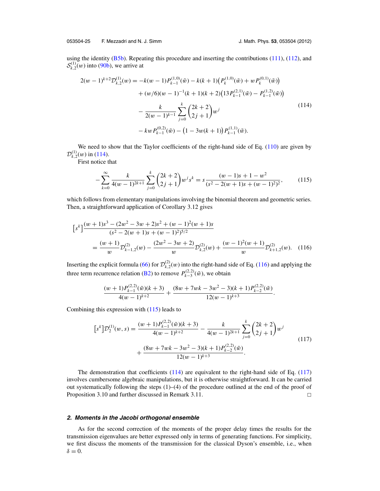053504-25 F. Mezzadri and N. J. Simm J. Math. Phys. **53**, 053504 (2012)

using the identity  $(B5b)$ . Repeating this procedure and inserting the contributions [\(111\)](#page-25-0), [\(112\)](#page-25-0), and  $S_{k,2}^{(1)}(w)$  into [\(90b\)](#page-21-0), we arrive at

$$
2(w-1)^{k+2} \mathcal{D}_{k,2}^{(1)}(w) = -k(w-1) P_{k-1}^{(1,0)}(\tilde{w}) - k(k+1) \left( P_k^{(1,0)}(\tilde{w}) + w P_k^{(0,1)}(\tilde{w}) \right) + (w/6)(w-1)^{-1} (k+1)(k+2) \left( 13 P_{k-1}^{(2,1)}(\tilde{w}) - P_{k-1}^{(1,2)}(\tilde{w}) \right) - \frac{k}{2(w-1)^{k-1}} \sum_{j=0}^k {2k+2 \choose 2j+1} w^j - kw P_{k-1}^{(0,2)}(\tilde{w}) - \left( 1 - 3w(k+1) \right) P_{k-1}^{(1,1)}(\tilde{w}).
$$
\n(114)

We need to show that the Taylor coefficients of the right-hand side of Eq. [\(110\)](#page-25-0) are given by  $\mathcal{D}_{k,2}^{(1)}(w)$  in (114).

First notice that

$$
-\sum_{k=0}^{\infty} \frac{k}{4(w-1)^{2k+1}} \sum_{j=0}^{k} {2k+2 \choose 2j+1} w^j s^k = s \frac{(w-1)s + 1 - w^2}{(s^2 - 2(w+1)s + (w-1)^2)^2},
$$
(115)

which follows from elementary manipulations involving the binomial theorem and geometric series. Then, a straightforward application of Corollary 3.12 gives

$$
[s^k] \frac{(w+1)s^3 - (2w^2 - 3w + 2)s^2 + (w-1)^2(w+1)s}{(s^2 - 2(w+1)s + (w-1)^2)^{5/2}}
$$
  
= 
$$
\frac{(w+1)}{w} \mathcal{D}_{k-1,2}^{(2)}(w) - \frac{(2w^2 - 3w + 2)}{w} \mathcal{D}_{k,2}^{(2)}(w) + \frac{(w-1)^2(w+1)}{w} \mathcal{D}_{k+1,2}^{(2)}(w).
$$
 (116)

Inserting the explicit formula [\(66\)](#page-14-0) for  $\mathcal{D}_{k,2}^{(2)}(w)$  into the right-hand side of Eq. (116) and applying the three term recurrence relation [\(B2\)](#page-37-0) to remove  $P_{k-3}^{(2,2)}(\tilde{w})$ , we obtain

$$
\frac{(w+1)P_{k-1}^{(2,2)}(\tilde{w})(k+3)}{4(w-1)^{k+2}} + \frac{(8w+7wk-3w^2-3)(k+1)P_{k-2}^{(2,2)}(\tilde{w})}{12(w-1)^{k+3}}.
$$

Combining this expression with (115) leads to

$$
[s^{k}] \mathcal{D}_{2}^{(1)}(w,s) = \frac{(w+1)P_{k-1}^{(2,2)}(\tilde{w})(k+3)}{4(w-1)^{k+2}} - \frac{k}{4(w-1)^{2k+1}} \sum_{j=0}^{k} {2k+2 \choose 2j+1} w^{j}
$$
  
+ 
$$
\frac{(8w+7wk-3w^{2}-3)(k+1)P_{k-2}^{(2,2)}(\tilde{w})}{12(w-1)^{k+3}}.
$$
 (117)

The demonstration that coefficients  $(114)$  are equivalent to the right-hand side of Eq.  $(117)$ involves cumbersome algebraic manipulations, but it is otherwise straightforward. It can be carried out systematically following the steps  $(1)$ – $(4)$  of the procedure outlined at the end of the proof of Proposition 3.10 and further discussed in Remark 3.11.  $\Box$ 

#### **2. Moments in the Jacobi orthogonal ensemble**

As for the second correction of the moments of the proper delay times the results for the transmission eigenvalues are better expressed only in terms of generating functions. For simplicity, we first discuss the moments of the transmission for the classical Dyson's ensemble, i.e., when  $\delta = 0$ .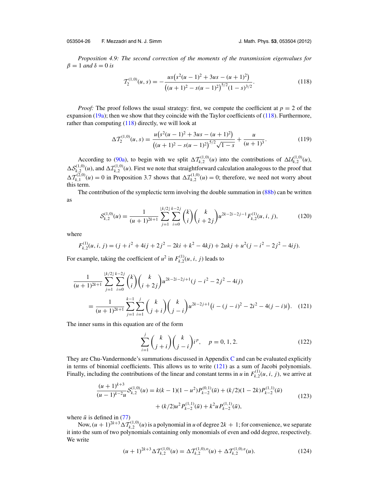<span id="page-27-0"></span>*Proposition 4.9: The second correction of the moments of the transmission eigenvalues for*  $β = 1$  *and*  $δ = 0$  *is* 

$$
T_2^{(1,0)}(u,s) = -\frac{us(s^2(u-1)^2 + 3us - (u+1)^2)}{((u+1)^2 - s(u-1)^2)^{5/2}(1-s)^{3/2}}.
$$
\n(118)

*Proof:* The proof follows the usual strategy: first, we compute the coefficient at  $p = 2$  of the expansion [\(19a\)](#page-6-0); then we show that they coincide with the Taylor coefficients of (118). Furthermore, rather than computing (118) directly, we will look at

$$
\Delta \mathcal{T}_2^{(1,0)}(u,s) = \frac{u\left(s^2(u-1)^2 + 3us - (u+1)^2\right)}{\left((u+1)^2 - s(u-1)^2\right)^{5/2}\sqrt{1-s}} + \frac{u}{(u+1)^3}.\tag{119}
$$

According to [\(90a\)](#page-21-0), to begin with we split  $\Delta T_{k,2}^{(1,0)}(u)$  into the contributions of  $\Delta U_{k,2}^{(1,0)}(u)$ ,  $\Delta S_{k,2}^{(1,0)}(u)$ , and  $\Delta T_{k,2}^{(1,0)}(u)$ . First we note that straightforward calculation analogous to the proof that  $\Delta T_{k,1}^{(2,0)}(\mu) = 0$  in Proposition 3.7 shows that  $\Delta T_{k,2}^{(1,0)}(\mu) = 0$ ; therefore, we need not worry about this term.

The contribution of the symplectic term involving the double summation in [\(88b\)](#page-20-0) can be written as

$$
S_{k,2}^{(1,0)}(u) = \frac{1}{(u+1)^{2k+1}} \sum_{j=1}^{\lfloor k/2 \rfloor} \sum_{i=0}^{k-2j} {k \choose i} {k \choose i+2j} u^{2k-2i-2j-1} F_{k,2}^{(1)}(u,i,j),
$$
(120)

where

$$
F_{k,2}^{(1)}(u,i,j) = (j + i^2 + 4ij + 2j^2 - 2ki + k^2 - 4kj) + 2ukj + u^2(j - i^2 - 2j^2 - 4ij).
$$

For example, taking the coefficient of  $u^2$  in  $F_{k,2}^{(1)}(u, i, j)$  leads to

$$
\frac{1}{(u+1)^{2k+1}} \sum_{j=1}^{\lfloor k/2 \rfloor} \sum_{i=0}^{k-2j} {k \choose i} {k \choose i+2j} u^{2k-2i-2j+1} (j-i^2-2j^2-4ij)
$$
\n
$$
= \frac{1}{(u+1)^{2k+1}} \sum_{j=1}^{k-1} \sum_{i=1}^{j} {k \choose j+i} {k \choose j-i} u^{2k-2j+1} (i-(j-i)^2-2i^2-4(j-i)i). \quad (121)
$$

The inner sums in this equation are of the form

$$
\sum_{i=1}^{j} {k \choose j+i} {k \choose j-i} i^{p}, \quad p = 0, 1, 2.
$$
 (122)

They are Chu-Vandermonde's summations discussed in Appendix [C](#page-37-0) and can be evaluated explicitly in terms of binomial coefficients. This allows us to write (121) as a sum of Jacobi polynomials. Finally, including the contributions of the linear and constant terms in *u* in  $F_{k,2}^{(1)}(u, i, j)$ , we arrive at

$$
\frac{(u+1)^{k+3}}{(u-1)^{k-2}u}S_{k,2}^{(1,0)}(u) = k(k-1)(1-u^2)P_{k-2}^{(0,1)}(\tilde{u}) + (k/2)(1-2k)P_{k-2}^{(1,1)}(\tilde{u})
$$
  
 
$$
+ (k/2)u^2P_{k-2}^{(1,1)}(\tilde{u}) + k^2uP_{k-2}^{(1,1)}(\tilde{u}),
$$
 (123)

where  $\tilde{u}$  is defined in [\(77\)](#page-17-0)

Now,  $(u + 1)^{2k+3} \Delta T_{k,2}^{(1,0)}(u)$  is a polynomial in *u* of degree  $2k + 1$ ; for convenience, we separate it into the sum of two polynomials containing only monomials of even and odd degree, respectively. We write

$$
(u+1)^{2k+3} \Delta \mathcal{T}_{k,2}^{(1,0)}(u) = \Delta \mathcal{T}_{k,2}^{(1,0),\mathrm{o}}(u) + \Delta \mathcal{T}_{k,2}^{(1,0),\mathrm{e}}(u). \tag{124}
$$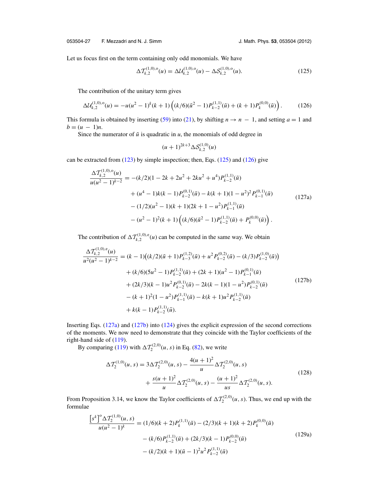<span id="page-28-0"></span>Let us focus first on the term containing only odd monomials. We have

$$
\Delta \mathcal{T}_{k,2}^{(1,0),\text{o}}(u) = \Delta \mathcal{U}_{k,2}^{(1,0),\text{o}}(u) - \Delta \mathcal{S}_{k,2}^{(1,0),\text{o}}(u). \tag{125}
$$

The contribution of the unitary term gives

$$
\Delta \mathcal{U}_{k,2}^{(1,0),\text{o}}(u) = -u(u^2 - 1)^k (k+1) \left( (k/6)(\tilde{u}^2 - 1) P_{k-2}^{(1,1)}(\tilde{u}) + (k+1) P_k^{(0,0)}(\tilde{u}) \right). \tag{126}
$$

This formula is obtained by inserting [\(59\)](#page-12-0) into [\(21\)](#page-7-0), by shifting  $n \rightarrow n - 1$ , and setting  $a = 1$  and  $b = (u - 1)n$ .

Since the numerator of  $\tilde{u}$  is quadratic in  $u$ , the monomials of odd degree in

$$
(u+1)^{2k+3}\Delta S_{k,2}^{(1,0)}(u)
$$

can be extracted from  $(123)$  by simple inspection; then, Eqs.  $(125)$  and  $(126)$  give

$$
\frac{\Delta T_{k,2}^{(1,0),0}(u)}{u(u^2 - 1)^{k-2}} = -(k/2)(1 - 2k + 2u^2 + 2ku^2 + u^4)P_{k-2}^{(1,1)}(\tilde{u}) \n+ (u^4 - 1)k(k - 1)P_{k-2}^{(0,1)}(\tilde{u}) - k(k + 1)(1 - u^2)^2 P_{k-1}^{(0,1)}(\tilde{u}) \n- (1/2)(u^2 - 1)(k + 1)(2k + 1 - u^2)P_{k-1}^{(1,1)}(\tilde{u}) \n- (u^2 - 1)^2(k + 1)\left((k/6)(\tilde{u}^2 - 1)P_{k-2}^{(1,1)}(\tilde{u}) + P_k^{(0,0)}(\tilde{u})\right).
$$
\n(127a)

The contribution of  $\Delta T_{k,2}^{(1,0),e}(u)$  can be computed in the same way. We obtain

$$
\frac{\Delta T_{k,2}^{(1,0),e}(u)}{u^2(u^2 - 1)^{k-2}} = (k - 1)((k/2)(\tilde{u} + 1)P_{k-3}^{(1,2)}(\tilde{u}) + u^2 P_{k-2}^{(0,2)}(\tilde{u}) - (k/3)P_{k-2}^{(1,0)}(\tilde{u})) \n+ (k/6)(5u^2 - 1)P_{k-2}^{(1,1)}(\tilde{u}) + (2k + 1)(u^2 - 1)P_{k-1}^{(0,1)}(\tilde{u}) \n+ (2k/3)(k - 1)u^2 P_{k-2}^{(0,1)}(\tilde{u}) - 2k(k - 1)(1 - u^2)P_{k-2}^{(0,1)}(\tilde{u}) \n- (k + 1)^2(1 - u^2)P_{k-1}^{(1,1)}(\tilde{u}) - k(k + 1)u^2 P_{k-2}^{(1,1)}(\tilde{u}) \n+ k(k - 1)P_{k-2}^{(1,1)}(\tilde{u}).
$$
\n(127b)

Inserting Eqs. (127a) and (127b) into [\(124\)](#page-27-0) gives the explicit expression of the second corrections of the moments. We now need to demonstrate that they coincide with the Taylor coefficients of the right-hand side of [\(119\)](#page-27-0).

By comparing [\(119\)](#page-27-0) with  $\Delta \mathcal{T}_2^{(2,0)}(u, s)$  in Eq. [\(82\)](#page-18-0), we write

$$
\Delta \mathcal{T}_2^{(1,0)}(u,s) = 3\Delta \mathcal{T}_2^{(2,0)}(u,s) - \frac{4(u+1)^2}{u} \Delta \mathcal{T}_2^{(2,0)}(u,s) + \frac{s(u+1)^2}{u} \Delta \mathcal{T}_2^{(2,0)}(u,s) - \frac{(u+1)^2}{us} \Delta \mathcal{T}_2^{(2,0)}(u,s).
$$
\n(128)

From Proposition 3.14, we know the Taylor coefficients of  $\Delta T_2^{(2,0)}(u, s)$ . Thus, we end up with the formulae

$$
\frac{\left[s^k\right]^0 \Delta T_2^{(1,0)}(u,s)}{u(u^2 - 1)^k} = (1/6)(k+2)P_k^{(1,1)}(\tilde{u}) - (2/3)(k+1)(k+2)P_k^{(0,0)}(\tilde{u})
$$

$$
- (k/6)P_{k-2}^{(1,1)}(\tilde{u}) + (2k/3)(k-1)P_{k-2}^{(0,0)}(\tilde{u})
$$

$$
- (k/2)(k+1)(\tilde{u} - 1)^2 u^2 P_{k-2}^{(1,1)}(\tilde{u})
$$
\n(129a)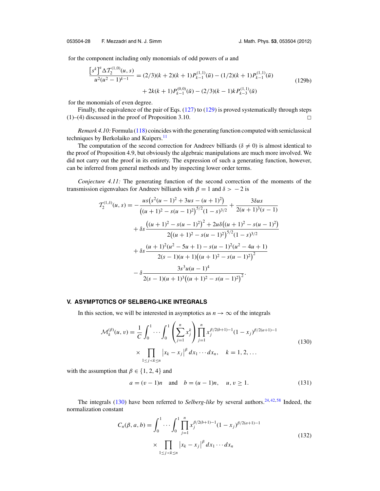<span id="page-29-0"></span>053504-28 F. Mezzadri and N. J. Simm J. Math. Phys. **53**, 053504 (2012)

for the component including only monomials of odd powers of *u* and

$$
\frac{\left[s^k\right]^e \Delta \mathcal{T}_2^{(1,0)}(u,s)}{u^2(u^2 - 1)^{k-1}} = (2/3)(k+2)(k+1)P_{k-1}^{(1,1)}(\tilde{u}) - (1/2)(k+1)P_{k-1}^{(1,1)}(\tilde{u})
$$
  
+ 2k(k+1)P\_{k-1}^{(0,0)}(\tilde{u}) - (2/3)(k-1)kP\_{k-3}^{(1,1)}(\tilde{u}) \t(129b)

for the monomials of even degree.

e

Finally, the equivalence of the pair of Eqs. [\(127\)](#page-28-0) to [\(129\)](#page-28-0) is proved systematically through steps  $(1)$ – $(4)$  discussed in the proof of Proposition 3.10.  $\Box$ 

*Remark 4.10:* Formula [\(118\)](#page-27-0) coincides with the generating function computed with semiclassical techniques by Berkolaiko and Kuipers.<sup>[11](#page-41-0)</sup>

The computation of the second correction for Andreev billiards ( $\delta \neq 0$ ) is almost identical to the proof of Proposition 4.9, but obviously the algebraic manipulations are much more involved. We did not carry out the proof in its entirety. The expression of such a generating function, however, can be inferred from general methods and by inspecting lower order terms.

*Conjecture 4.11:* The generating function of the second correction of the moments of the transmission eigenvalues for Andreev billiards with  $\beta = 1$  and  $\delta > -2$  is

$$
T_2^{(1,\delta)}(u,s) = -\frac{us(s^2(u-1)^2 + 3us - (u+1)^2)}{((u+1)^2 - s(u-1)^2)^{5/2}(1-s)^{3/2}} + \frac{3\delta us}{2(u+1)^3(s-1)}
$$
  
+  $\delta s \frac{((u+1)^2 - s(u-1)^2)^2 + 2u\delta((u+1)^2 - s(u-1)^2)}{2((u+1)^2 - s(u-1)^2)^{5/2}(1-s)^{3/2}}$   
+  $\delta s \frac{(u+1)^2(u^2 - 5u + 1) - s(u-1)^2(u^2 - 4u + 1)}{2(s-1)(u+1)((u+1)^2 - s(u-1)^2)^2}$   
-  $\delta \frac{3s^3u(u-1)^4}{2(s-1)(u+1)^3((u+1)^2 - s(u-1)^2)^2}$ .

#### **V. ASYMPTOTICS OF SELBERG-LIKE INTEGRALS**

In this section, we will be interested in asymptotics as  $n \to \infty$  of the integrals  $\lambda$ 

$$
\mathcal{M}_k^{(\beta)}(u, v) = \frac{1}{C} \int_0^1 \cdots \int_0^1 \left( \sum_{j=1}^n x_j^k \right) \prod_{j=1}^n x_j^{\beta/2(b+1)-1} (1 - x_j)^{\beta/2(a+1)-1}
$$
  
 
$$
\times \prod_{1 \le j < k \le n} |x_k - x_j|^{\beta} dx_1 \cdots dx_n, \quad k = 1, 2, \dots
$$
 (130)

with the assumption that  $\beta \in \{1, 2, 4\}$  and

$$
a = (v - 1)n
$$
 and  $b = (u - 1)n$ ,  $u, v \ge 1$ . (131)

The integrals (130) have been referred to *Selberg-like* by several authors.<sup>24, [42,](#page-42-0) [58](#page-42-0)</sup> Indeed, the normalization constant

$$
C_n(\beta, a, b) = \int_0^1 \cdots \int_0^1 \prod_{j=1}^n x_j^{\beta/2(b+1)-1} (1 - x_j)^{\beta/2(a+1)-1}
$$
  
 
$$
\times \prod_{1 \le j < k \le n} |x_k - x_j|^{\beta} dx_1 \cdots dx_n
$$
 (132)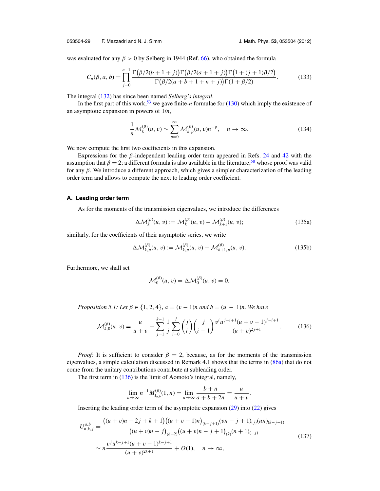<span id="page-30-0"></span>053504-29 F. Mezzadri and N. J. Simm J. Math. Phys. **53**, 053504 (2012)

was evaluated for any  $\beta > 0$  by Selberg in 1944 (Ref. [66\)](#page-42-0), who obtained the formula

$$
C_n(\beta, a, b) = \prod_{j=0}^{n-1} \frac{\Gamma(\beta/2(b+1+j))\Gamma(\beta/2(a+1+j))\Gamma(1+(j+1)\beta/2)}{\Gamma(\beta/2(a+b+1+n+j))\Gamma(1+\beta/2)}.
$$
 (133)

The integral [\(132\)](#page-29-0) has since been named *Selberg's integral*.

In the first part of this work,<sup>53</sup> we gave finite-*n* formulae for [\(130\)](#page-29-0) which imply the existence of an asymptotic expansion in powers of 1/*n*,

$$
\frac{1}{n}\mathcal{M}_k^{(\beta)}(u,v) \sim \sum_{p=0}^{\infty} \mathcal{M}_{k,p}^{(\beta)}(u,v)n^{-p}, \quad n \to \infty.
$$
 (134)

We now compute the first two coefficients in this expansion.

Expressions for the  $\beta$ -independent leading order term appeared in Refs. [24](#page-41-0) and [42](#page-42-0) with the assumption that  $\beta = 2$ ; a different formula is also available in the literature,<sup>[58](#page-42-0)</sup> whose proof was valid for any β. We introduce a different approach, which gives a simpler characterization of the leading order term and allows to compute the next to leading order coefficient.

#### **A. Leading order term**

As for the moments of the transmission eigenvalues, we introduce the differences

$$
\Delta \mathcal{M}_k^{(\beta)}(u, v) := \mathcal{M}_k^{(\beta)}(u, v) - \mathcal{M}_{k+1}^{(\beta)}(u, v); \tag{135a}
$$

similarly, for the coefficients of their asymptotic series, we write

$$
\Delta \mathcal{M}_{k,p}^{(\beta)}(u,v) := \mathcal{M}_{k,p}^{(\beta)}(u,v) - \mathcal{M}_{k+1,p}^{(\beta)}(u,v). \tag{135b}
$$

Furthermore, we shall set

$$
\mathcal{M}_0^{(\beta)}(u,v) = \Delta \mathcal{M}_0^{(\beta)}(u,v) = 0.
$$

*Proposition 5.1: Let*  $\beta \in \{1, 2, 4\}$ ,  $a = (v - 1)n$  and  $b = (u - 1)n$ . We have

$$
\mathcal{M}_{k,0}^{(\beta)}(u,v) = \frac{u}{u+v} - \sum_{j=1}^{k-1} \frac{1}{j} \sum_{i=0}^{j} \binom{j}{i} \binom{j}{i-1} \frac{v^i u^{j-i+1} (u+v-1)^{j-i+1}}{(u+v)^{2j+1}}.
$$
(136)

*Proof:* It is sufficient to consider  $\beta = 2$ , because, as for the moments of the transmission eigenvalues, a simple calculation discussed in Remark 4.1 shows that the terms in [\(86a\)](#page-19-0) that do not come from the unitary contributions contribute at subleading order.

The first term in (136) is the limit of Aomoto's integral, namely,

$$
\lim_{n \to \infty} n^{-1} M_{J_{a,b}}^{(\beta)}(1, n) = \lim_{n \to \infty} \frac{b+n}{a+b+2n} = \frac{u}{u+v}.
$$

Inserting the leading order term of the asymptotic expansion  $(29)$  into  $(22)$  gives

$$
U_{n,k,j}^{a,b} = \frac{\left((u+v)n - 2j + k + 1\right)\left((u+v-1)n\right)_{(k-j+1)}(vn - j + 1)_{(j)}(un)_{(k-j+1)}}{\left((u+v)n - j\right)_{(k+2)}\left((u+v)n - j + 1\right)_{(k)}(n+1)_{(-j)}}\n\times n\frac{v^j u^{k-j+1}(u+v-1)^{k-j+1}}{(u+v)^{2k+1}} + O(1), \quad n \to \infty,
$$
\n(137)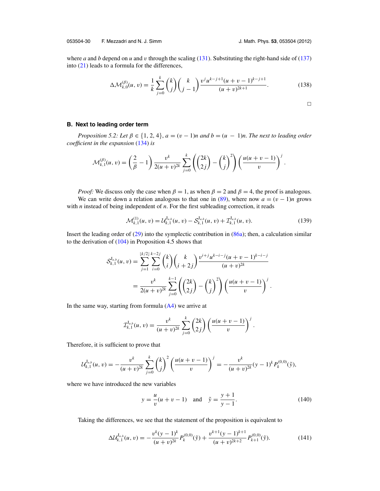$\overline{\phantom{0}}$ 

<span id="page-31-0"></span>where *a* and *b* depend on *u* and *v* through the scaling  $(131)$ . Substituting the right-hand side of  $(137)$ into [\(21\)](#page-7-0) leads to a formula for the differences,

$$
\Delta \mathcal{M}_{k,0}^{(\beta)}(u,v) = \frac{1}{k} \sum_{j=0}^{k} {k \choose j} {k \choose j-1} \frac{v^{j} u^{k-j+1} (u+v-1)^{k-j+1}}{(u+v)^{2k+1}}.
$$
 (138)

#### **B. Next to leading order term**

*Proposition 5.2: Let*  $\beta \in \{1, 2, 4\}$ ,  $a = (v - 1)n$  and  $b = (u - 1)n$ . The next to leading order *coefficient in the expansion* [\(134\)](#page-30-0) *is*

$$
\mathcal{M}_{k,1}^{(\beta)}(u,v) = \left(\frac{2}{\beta} - 1\right) \frac{v^k}{2(u+v)^{2k}} \sum_{j=0}^k \left(\binom{2k}{2j} - \binom{k}{j}^2\right) \left(\frac{u(u+v-1)}{v}\right)^j.
$$

*Proof:* We discuss only the case when  $\beta = 1$ , as when  $\beta = 2$  and  $\beta = 4$ , the proof is analogous. We can write down a relation analogous to that one in [\(89\)](#page-20-0), where now  $a = (v - 1)n$  grows with *n* instead of being independent of *n*. For the first subleading correction, it reads

$$
\mathcal{M}_{k,1}^{(1)}(u,v) = \mathcal{U}_{k,1}^{J_{a,b}}(u,v) - \mathcal{S}_{k,1}^{J_{a,b}}(u,v) + \mathcal{I}_{k,1}^{J_{a,b}}(u,v). \tag{139}
$$

Insert the leading order of [\(29\)](#page-7-0) into the symplectic contribution in [\(86a\)](#page-19-0); then, a calculation similar to the derivation of  $(104)$  in Proposition 4.5 shows that

$$
\mathcal{S}_{k,1}^{J_{a,b}}(u,v) = \sum_{j=1}^{\lfloor k/2 \rfloor} \sum_{i=0}^{k-2j} {k \choose i} {k \choose i+2j} \frac{v^{i+j}u^{k-i-j}(u+v-1)^{k-i-j}}{(u+v)^{2k}}
$$

$$
= \frac{v^k}{2(u+v)^{2k}} \sum_{j=0}^{k-1} {2k \choose 2j} - {k \choose j}^2} \left(\frac{u(u+v-1)}{v}\right)^j.
$$

In the same way, starting from formula  $(A4)$  we arrive at

$$
\mathcal{I}_{k,1}^{J_{a,b}}(u,v) = \frac{v^k}{(u+v)^{2k}} \sum_{j=0}^k {2k \choose 2j} \left( \frac{u(u+v-1)}{v} \right)^j.
$$

Therefore, it is sufficient to prove that

$$
\mathcal{U}_{k,1}^{J_{a,b}}(u,v) = -\frac{v^k}{(u+v)^{2k}} \sum_{j=0}^k {k \choose j}^2 \left(\frac{u(u+v-1)}{v}\right)^j = -\frac{v^k}{(u+v)^{2k}} (y-1)^k P_k^{(0,0)}(\tilde{y}),
$$

where we have introduced the new variables

$$
y = \frac{u}{v}(u+v-1)
$$
 and  $\tilde{y} = \frac{y+1}{y-1}$ . (140)

Taking the differences, we see that the statement of the proposition is equivalent to

$$
\Delta \mathcal{U}_{k,1}^{J_{a,b}}(u,v) = -\frac{v^k(y-1)^k}{(u+v)^{2k}} P_k^{(0,0)}(\tilde{y}) + \frac{v^{k+1}(y-1)^{k+1}}{(u+v)^{2k+2}} P_{k+1}^{(0,0)}(\tilde{y}).
$$
\n(141)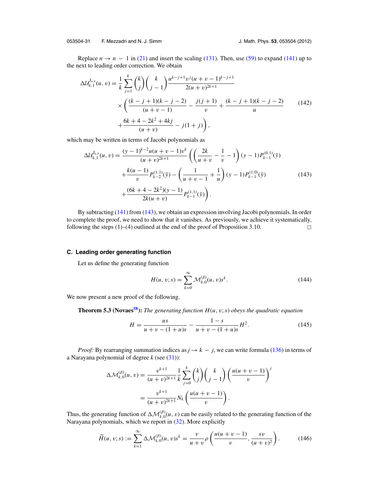<span id="page-32-0"></span>053504-31 F. Mezzadri and N. J. Simm J. Math. Phys. **53**, 053504 (2012)

Replace  $n \to n - 1$  in [\(21\)](#page-7-0) and insert the scaling [\(131\)](#page-29-0). Then, use [\(59\)](#page-12-0) to expand [\(141\)](#page-31-0) up to the next to leading order correction. We obtain

$$
\Delta \mathcal{U}_{k,1}^{J_{a,b}}(u,v) = \frac{1}{k} \sum_{j=1}^{k} {k \choose j} {k \choose j-1} \frac{u^{k-j+1}v^{j}(u+v-1)^{k-j+1}}{2(u+v)^{2k+1}} \times \left( \frac{(k-j+1)(k-j-2)}{(u+v-1)} - \frac{j(j+1)}{v} + \frac{(k-j+1)(k-j-2)}{u} \right)
$$
\n
$$
+ \frac{6k+4-2k^{2}+4kj}{(u+v)} - j(1+j)\right),
$$
\n(142)

which may be written in terms of Jacobi polynomials as

$$
\Delta \mathcal{U}_{k,1}^{J_{a,b}}(u,v) = \frac{(y-1)^{k-2}u(u+v-1)v^k}{(u+v)^{2k+1}} \left( \left( \frac{2k}{u+v} - \frac{1}{v} - 1 \right) (y-1) P_{k-1}^{(0,1)}(\tilde{y}) \right. \\ \left. + \frac{k(u-1)}{v} P_{k-2}^{(1,1)}(\tilde{y}) - \left( \frac{1}{u+v-1} + \frac{1}{u} \right) (y-1) P_{k-1}^{(1,0)}(\tilde{y}) \right. \\ \left. + \frac{(6k+4-2k^2)(y-1)}{2k(u+v)} P_{k-1}^{(1,1)}(\tilde{y}) \right).
$$
 (143)

By subtracting [\(141\)](#page-31-0) from (143), we obtain an expression involving Jacobi polynomials. In order to complete the proof, we need to show that it vanishes. As previously, we achieve it systematically, following the steps  $(1)$ – $(4)$  outlined at the end of the proof of Proposition 3.10.  $\Box$ 

#### **C. Leading order generating function**

Let us define the generating function

$$
H(u, v; s) = \sum_{k=0}^{\infty} \mathcal{M}_{k,0}^{(\beta)}(u, v) s^k.
$$
 (144)

We now present a new proof of the following.

**Theorem 5.3 (Novaes<sup>58</sup>):** *The generating function*  $H(u, v; s)$  *obeys the quadratic equation* 

$$
H = \frac{us}{u + v - (1 + u)s} - \frac{1 - s}{u + v - (1 + u)s} H^{2}.
$$
 (145)

*Proof:* By rearranging summation indices as  $j \rightarrow k - j$ , we can write formula [\(136\)](#page-30-0) in terms of a Narayana polynomial of degree *k* (see [\(31\)](#page-8-0)):

$$
\Delta \mathcal{M}_{k,0}^{(\beta)}(u,v) = \frac{v^{k+1}}{(u+v)^{2k+1}} \frac{1}{k} \sum_{j=0}^{k} {k \choose j} {k \choose j-1} \left( \frac{u(u+v-1)}{v} \right)^j
$$

$$
= \frac{v^{k+1}}{(u+v)^{2k+1}} N_k \left( \frac{u(u+v-1)}{v} \right).
$$

Thus, the generating function of  $\Delta M_{k,0}^{(\beta)}(u, v)$  can be easily related to the generating function of the Narayana polynomials, which we report in [\(32\)](#page-8-0). More explicitly

$$
\widetilde{H}(u, v; s) := \sum_{k=1}^{\infty} \Delta \mathcal{M}_{k,0}^{(\beta)}(u, v) s^k = \frac{v}{u+v} \rho \left( \frac{u(u+v-1)}{v}, \frac{sv}{(u+v)^2} \right). \tag{146}
$$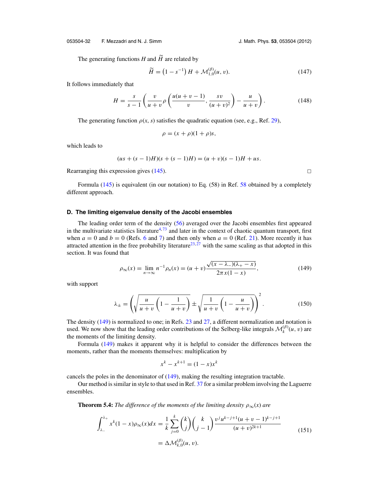<span id="page-33-0"></span>053504-32 F. Mezzadri and N. J. Simm J. Math. Phys. **53**, 053504 (2012)

The generating functions  $H$  and  $H$  are related by

$$
\widetilde{H} = (1 - s^{-1}) H + \mathcal{M}_{1,0}^{(\beta)}(u, v). \tag{147}
$$

It follows immediately that

$$
H = \frac{s}{s-1} \left( \frac{v}{u+v} \rho \left( \frac{u(u+v-1)}{v}, \frac{sv}{(u+v)^2} \right) - \frac{u}{u+v} \right). \tag{148}
$$

The generating function  $\rho(x, s)$  satisfies the quadratic equation (see, e.g., Ref. [29\)](#page-42-0),

$$
\rho = (x + \rho)(1 + \rho)s,
$$

which leads to

$$
(us + (s - 1)H)(s + (s - 1)H) = (u + v)(s - 1)H + us.
$$

Rearranging this expression gives  $(145)$ .

Formula [\(145\)](#page-32-0) is equivalent (in our notation) to Eq. (58) in Ref. [58](#page-42-0) obtained by a completely different approach.

#### **D. The limiting eigenvalue density of the Jacobi ensembles**

The leading order term of the density [\(56\)](#page-12-0) averaged over the Jacobi ensembles first appeared in the multivariate statistics literature<sup>4, [73](#page-43-0)</sup> and later in the context of chaotic quantum transport, first when  $a = 0$  and  $b = 0$  (Refs. [6](#page-41-0) and [7\)](#page-41-0) and then only when  $a = 0$  (Ref. [21\)](#page-41-0). More recently it has attracted attention in the free probability literature<sup>23,  $27$ </sup> with the same scaling as that adopted in this section. It was found that

$$
\rho_{\infty}(x) = \lim_{n \to \infty} n^{-1} \rho_n(x) = (u+v) \frac{\sqrt{(x-\lambda_-)(\lambda_+-x)}}{2\pi x(1-x)},
$$
\n(149)

with support

$$
\lambda_{\pm} = \left(\sqrt{\frac{u}{u+v}\left(1-\frac{1}{u+v}\right)} \pm \sqrt{\frac{1}{u+v}\left(1-\frac{u}{u+v}\right)}\right)^2. \tag{150}
$$

The density (149) is normalized to one; in Refs. [23](#page-41-0) and [27,](#page-42-0) a different normalization and notation is used. We now show that the leading order contributions of the Selberg-like integrals  $\mathcal{M}_k^{(\beta)}(u, v)$  are the moments of the limiting density.

Formula (149) makes it apparent why it is helpful to consider the differences between the moments, rather than the moments themselves: multiplication by

$$
x^k - x^{k+1} = (1 - x)x^k
$$

cancels the poles in the denominator of (149), making the resulting integration tractable.

Our method is similar in style to that used in Ref. [37](#page-42-0) for a similar problem involving the Laguerre ensembles.

**Theorem 5.4:** *The difference of the moments of the limiting density*  $\rho_{\infty}(x)$  *are* 

$$
\int_{\lambda_{-}}^{\lambda_{+}} x^{k} (1 - x) \rho_{\infty}(x) dx = \frac{1}{k} \sum_{j=0}^{k} {k \choose j} {k \choose j-1} \frac{v^{j} u^{k-j+1} (u + v - 1)^{k-j+1}}{(u + v)^{2k+1}}
$$
\n
$$
= \Delta \mathcal{M}_{k,0}^{(\beta)}(u, v).
$$
\n(151)

 $\Box$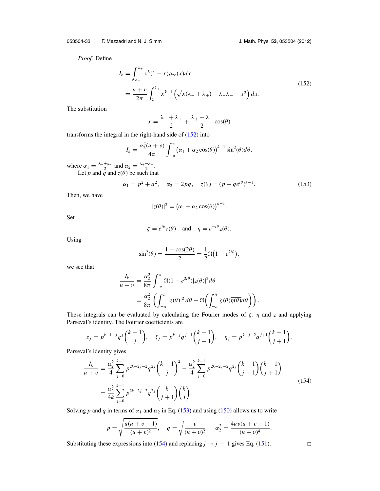*Proof:* Define

$$
I_k = \int_{\lambda_-}^{\lambda_+} x^k (1 - x) \rho_\infty(x) dx
$$
  
= 
$$
\frac{u + v}{2\pi} \int_{\lambda_-}^{\lambda_+} x^{k-1} \left( \sqrt{x(\lambda_- + \lambda_+) - \lambda_- \lambda_+ - x^2} \right) dx.
$$
 (152)

The substitution

$$
x = \frac{\lambda_- + \lambda_+}{2} + \frac{\lambda_+ - \lambda_-}{2} \cos(\theta)
$$

transforms the integral in the right-hand side of (152) into

$$
I_k = \frac{\alpha_2^2(u + v)}{4\pi} \int_{-\pi}^{\pi} (\alpha_1 + \alpha_2 \cos(\theta))^{k-1} \sin^2(\theta) d\theta,
$$

where  $\alpha_1 = \frac{\lambda_+ + \lambda_-}{2}$  and  $\alpha_2 = \frac{\lambda_+ - \lambda_-}{2}$ . Let  $p$  and  $q$  and  $z(\theta)$  be such that

$$
\alpha_1 = p^2 + q^2, \quad \alpha_2 = 2pq, \quad z(\theta) = (p + q e^{i\theta})^{k-1}.
$$
 (153)

Then, we have

$$
|z(\theta)|^2 = (\alpha_1 + \alpha_2 \cos(\theta))^{k-1}.
$$

Set

$$
\zeta = e^{i\theta} z(\theta)
$$
 and  $\eta = e^{-i\theta} z(\theta)$ .

Using

$$
\sin^2(\theta) = \frac{1 - \cos(2\theta)}{2} = \frac{1}{2}\Re(1 - e^{2i\theta}),
$$

we see that

$$
\frac{I_k}{u+v} = \frac{\alpha_2^2}{8\pi} \int_{-\pi}^{\pi} \Re(1 - e^{2i\theta}) |z(\theta)|^2 d\theta
$$
  
= 
$$
\frac{\alpha_2^2}{8\pi} \left( \int_{-\pi}^{\pi} |z(\theta)|^2 d\theta - \Re \left( \int_{-\pi}^{\pi} \zeta(\theta) \overline{\eta(\theta)} d\theta \right) \right).
$$

These integrals can be evaluated by calculating the Fourier modes of  $\zeta$ ,  $\eta$  and  $\zeta$  and applying Parseval's identity. The Fourier coefficients are

$$
z_j = p^{k-1-j} q^j {k-1 \choose j}, \quad \zeta_j = p^{k-j} q^{j-1} {k-1 \choose j-1}, \quad \eta_j = p^{k-j-2} q^{j+1} {k-1 \choose j+1}.
$$

Parseval's identity gives

$$
\frac{I_k}{u+v} = \frac{\alpha_2^2}{4} \sum_{j=0}^{k-1} p^{2k-2j-2} q^{2j} {k-1 \choose j}^2 - \frac{\alpha_2^2}{4} \sum_{j=0}^{k-1} p^{2k-2j-2} q^{2j} {k-1 \choose j-1} {k-1 \choose j+1}
$$
\n
$$
= \frac{\alpha_2^2}{4k} \sum_{j=0}^{k-1} p^{2k-2j-2} q^{2j} {k \choose j+1} {k \choose j}.
$$
\n(154)

Solving *p* and *q* in terms of  $\alpha_1$  and  $\alpha_2$  in Eq. (153) and using [\(150\)](#page-33-0) allows us to write

$$
p = \sqrt{\frac{u(u+v-1)}{(u+v)^2}}, \quad q = \sqrt{\frac{v}{(u+v)^2}}, \quad \alpha_2^2 = \frac{4uv(u+v-1)}{(u+v)^4}.
$$

Substituting these expressions into (154) and replacing *j*  $\rightarrow$  *j* − 1 gives Eq. [\(151\)](#page-33-0).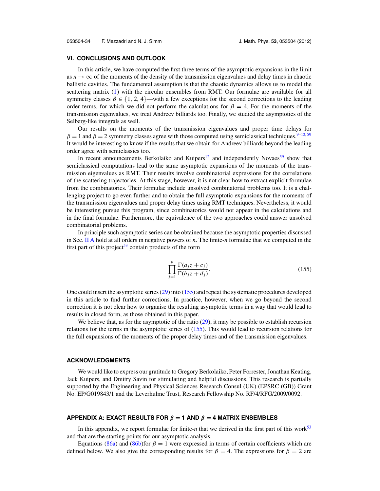#### <span id="page-35-0"></span>**VI. CONCLUSIONS AND OUTLOOK**

In this article, we have computed the first three terms of the asymptotic expansions in the limit as  $n \to \infty$  of the moments of the density of the transmission eigenvalues and delay times in chaotic ballistic cavities. The fundamental assumption is that the chaotic dynamics allows us to model the scattering matrix [\(1\)](#page-2-0) with the circular ensembles from RMT. Our formulae are available for all symmetry classes  $\beta \in \{1, 2, 4\}$ —with a few exceptions for the second corrections to the leading order terms, for which we did not perform the calculations for  $\beta = 4$ . For the moments of the transmission eigenvalues, we treat Andreev billiards too. Finally, we studied the asymptotics of the Selberg-like integrals as well.

Our results on the moments of the transmission eigenvalues and proper time delays for  $\beta = 1$  and  $\beta = 2$  symmetry classes agree with those computed using semiclassical techniques.<sup>9–12,[59](#page-42-0)</sup> It would be interesting to know if the results that we obtain for Andreev billiards beyond the leading order agree with semiclassics too.

In recent announcements Berkolaiko and Kuipers $12$  and independently Novaes<sup>[59](#page-42-0)</sup> show that semiclassical computations lead to the same asymptotic expansions of the moments of the transmission eigenvalues as RMT. Their results involve combinatorial expressions for the correlations of the scattering trajectories. At this stage, however, it is not clear how to extract explicit formulae from the combinatorics. Their formulae include unsolved combinatorial problems too. It is a challenging project to go even further and to obtain the full asymptotic expansions for the moments of the transmission eigenvalues and proper delay times using RMT techniques. Nevertheless, it would be interesting pursue this program, since combinatorics would not appear in the calculations and in the final formulae. Furthermore, the equivalence of the two approaches could answer unsolved combinatorial problems.

In principle such asymptotic series can be obtained because the asymptotic properties discussed in Sec. [II A](#page-7-0) hold at all orders in negative powers of *n*. The finite-*n* formulae that we computed in the first part of this project<sup>[53](#page-42-0)</sup> contain products of the form

$$
\prod_{j=1}^{p} \frac{\Gamma(a_j z + c_j)}{\Gamma(b_j z + d_j)}.
$$
\n(155)

One could insert the asymptotic series [\(29\)](#page-7-0) into (155) and repeat the systematic procedures developed in this article to find further corrections. In practice, however, when we go beyond the second correction it is not clear how to organise the resulting asymptotic terms in a way that would lead to results in closed form, as those obtained in this paper.

We believe that, as for the asymptotic of the ratio [\(29\)](#page-7-0), it may be possible to establish recursion relations for the terms in the asymptotic series of (155). This would lead to recursion relations for the full expansions of the moments of the proper delay times and of the transmission eigenvalues.

#### **ACKNOWLEDGMENTS**

We would like to express our gratitude to Gregory Berkolaiko, Peter Forrester, Jonathan Keating, Jack Kuipers, and Dmitry Savin for stimulating and helpful discussions. This research is partially supported by the Engineering and Physical Sciences Research Consul (UK) (EPSRC (GB)) Grant No. EP/G019843/1 and the Leverhulme Trust, Research Fellowship No. RF/4/RFG/2009/0092.

#### **APPENDIX A: EXACT RESULTS FOR**  $\beta$  **= 1 AND**  $\beta$  **= 4 MATRIX ENSEMBLES**

In this appendix, we report formulae for finite-*n* that we derived in the first part of this work<sup>53</sup> and that are the starting points for our asymptotic analysis.

Equations [\(86a\)](#page-19-0) and [\(86b\)](#page-20-0)for  $\beta = 1$  were expressed in terms of certain coefficients which are defined below. We also give the corresponding results for  $\beta = 4$ . The expressions for  $\beta = 2$  are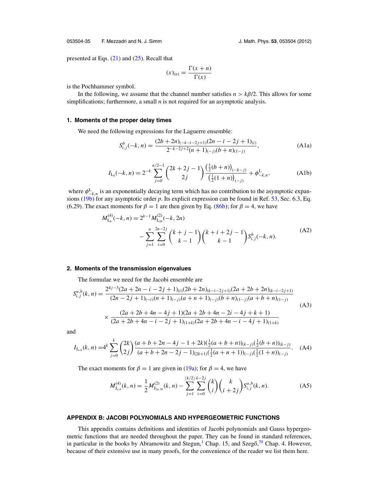<span id="page-36-0"></span>053504-35 F. Mezzadri and N. J. Simm J. Math. Phys. **53**, 053504 (2012)

presented at Eqs. [\(21\)](#page-7-0) and [\(25\)](#page-7-0). Recall that

$$
(x)_{(n)} = \frac{\Gamma(x+n)}{\Gamma(x)}
$$

is the Pochhammer symbol.

In the following, we assume that the channel number satisfies  $n > k\beta/2$ . This allows for some simplifications; furthermore, a small *n* is not required for an asymptotic analysis.

#### **1. Moments of the proper delay times**

We need the following expressions for the Laguerre ensemble:

$$
S_{i,j}^b(-k,n) = \frac{(2b+2n)_{(-k-i-2j+1)}(2n-i-2j+1)_{(i)}}{2^{-k-2j+2}(n+1)_{(-j)}(b+n)_{(1-j)}},
$$
\n(A1a)

$$
I_{\mathcal{L}_{b}}(-k,n) = 2^{-k} \sum_{j=0}^{n/2-1} {2k + 2j - 1 \choose 2j} \frac{\left(\frac{1}{2}(b+n)\right)_{(-k-j)}}{\left(\frac{1}{2}(1+n)\right)_{(-j)}} + \phi_{-k,n}^{\mathcal{L}},\tag{A1b}
$$

where  $\phi_{-k,n}^L$  is an exponentially decaying term which has no contribution to the asymptotic expansions [\(19b\)](#page-6-0) for any asymptotic order *p*. Its explicit expression can be found in Ref. [53,](#page-42-0) Sec. 6.3, Eq. (6.29). The exact moments for  $\beta = 1$  are then given by Eq. [\(86b\)](#page-20-0); for  $\beta = 4$ , we have

$$
M_{\mathsf{L}_{b}}^{(4)}(-k,n) = 2^{k-1} M_{\mathsf{L}_{2b}}^{(2)}(-k,2n)
$$
  
 
$$
- \sum_{j=1}^{n} \sum_{i=0}^{2n-2j} {k+j-1 \choose k-1} {k+i+2j-1 \choose k-1} S_{i,j}^{b}(-k,n).
$$
 (A2)

#### **2. Moments of the transmission eigenvalues**

The formulae we need for the Jacobi ensemble are

$$
S_{i,j}^{a,b}(k,n) = \frac{2^{4j-3}(2a+2n-i-2j+1)_{(i)}(2b+2n)_{(k-i-2j+1)}(2a+2b+2n)_{(k-i-2j+1)}}{(2n-2j+1)_{(-i)}(n+1)_{(-j)}(a+n+1)_{(-j)}(b+n)_{(1-j)}(a+b+n)_{(1-j)}} \times \frac{(2a+2b+4n-4j+1)(2a+2b+4n-2i-4j+k+1)}{(2a+2b+4n-i-2j+1)_{(1+k)}(2a+2b+4n-i-4j+1)_{(1+k)}} \tag{A3}
$$

and

$$
I_{J_{a,b}}(k,n) = 4^k \sum_{j=0}^k {2k \choose 2j} \frac{(a+b+2n-4j-1+2k)(\frac{1}{2}(a+b+n))_{(k-j)}(\frac{1}{2}(b+n))_{(k-j)}}{(a+b+2n-2j-1)_{(2k+1)}(\frac{1}{2}(a+n+1))_{(-j)}(\frac{1}{2}(1+n))_{(-j)}}.
$$
 (A4)

The exact moments for  $\beta = 1$  are given in [\(19a\)](#page-6-0); for  $\beta = 4$ , we have

$$
M_{J_{a,b}}^{(4)}(k,n) = \frac{1}{2} M_{J_{2a,2b}}^{(2)}(k,n) - \sum_{j=1}^{\lfloor k/2 \rfloor} \sum_{i=0}^{k-2j} {k \choose i} {k \choose i+2j} S_{i,j}^{a,b}(k,n).
$$
 (A5)

#### **APPENDIX B: JACOBI POLYNOMIALS AND HYPERGEOMETRIC FUNCTIONS**

This appendix contains definitions and identities of Jacobi polynomials and Gauss hypergeometric functions that are needed throughout the paper. They can be found in standard references, in particular in the books by Abramowitz and Stegun,<sup>[1](#page-41-0)</sup> Chap. 15, and Szego<sup> $70$ </sup> Chap. 4. However, because of their extensive use in many proofs, for the convenience of the reader we list them here.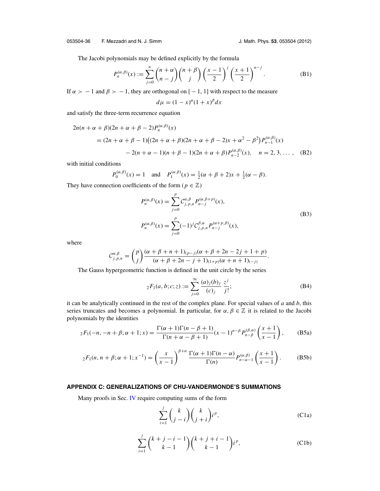<span id="page-37-0"></span>The Jacobi polynomials may be defined explicitly by the formula

$$
P_n^{(\alpha,\beta)}(x) := \sum_{j=0}^n \binom{n+\alpha}{n-j} \binom{n+\beta}{j} \left(\frac{x-1}{2}\right)^j \left(\frac{x+1}{2}\right)^{n-j}.
$$
 (B1)

If  $\alpha > -1$  and  $\beta > -1$ , they are orthogonal on [-1, 1] with respect to the measure

$$
d\mu = (1 - x)^{\alpha} (1 + x)^{\beta} dx
$$

and satisfy the three-term recurrence equation

$$
2n(n + \alpha + \beta)(2n + \alpha + \beta - 2)P_n^{(\alpha,\beta)}(x)
$$
  
=  $(2n + \alpha + \beta - 1)((2n + \alpha + \beta)(2n + \alpha + \beta - 2)x + \alpha^2 - \beta^2)P_{n-1}^{(\alpha,\beta)}(x)$   
 $- 2(n + \alpha - 1)(n + \beta - 1)(2n + \alpha + \beta)P_{n-2}^{(\alpha,\beta)}(x), \quad n = 2, 3, ...,$  (B2)

with initial conditions

$$
P_0^{(\alpha,\beta)}(x) = 1
$$
 and  $P_1^{(\alpha,\beta)}(x) = \frac{1}{2}(\alpha + \beta + 2)x + \frac{1}{2}(\alpha - \beta).$ 

They have connection coefficients of the form ( $p \in \mathbb{Z}$ )

$$
P_n^{(\alpha,\beta)}(x) = \sum_{j=0}^p C_{j,p,n}^{\alpha,\beta} P_{n-j}^{(\alpha,\beta+p)}(x),
$$
  
\n
$$
P_n^{(\alpha,\beta)}(x) = \sum_{j=0}^p (-1)^j C_{j,p,n}^{\beta,\alpha} P_{n-j}^{(\alpha+p,\beta)}(x),
$$
\n(B3)

where

$$
\mathcal{C}_{j,p,n}^{\alpha,\beta} = {p \choose j} \frac{(\alpha + \beta + n + 1)_{(p-j)}(\alpha + \beta + 2n - 2j + 1 + p)}{(\alpha + \beta + 2n - j + 1)_{(1+p)}(\alpha + n + 1)_{(-j)}}.
$$

The Gauss hypergeometric function is defined in the unit circle by the series

$$
{}_2F_1(a, b; c; z) := \sum_{j=0}^{\infty} \frac{(a)_j(b)_j}{(c)_j} \frac{z^j}{j!};
$$
 (B4)

it can be analytically continued in the rest of the complex plane. For special values of *a* and *b*, this series truncates and becomes a polynomial. In particular, for  $\alpha, \beta \in \mathbb{Z}$  it is related to the Jacobi polynomials by the identities

$$
{}_2F_1(-n, -n+\beta; \alpha+1; x) = \frac{\Gamma(\alpha+1)\Gamma(n-\beta+1)}{\Gamma(n+\alpha-\beta+1)}(x-1)^{n-\beta} P_{n-\beta}^{(\beta,\alpha)}\left(\frac{x+1}{x-1}\right), \quad \text{(B5a)}
$$

$$
{}_2F_1(n,n+\beta;\alpha+1;x^{-1}) = \left(\frac{x}{x-1}\right)^{\beta+n} \frac{\Gamma(\alpha+1)\Gamma(n-\alpha)}{\Gamma(n)} P_{n-\alpha-1}^{(\alpha,\beta)}\left(\frac{x+1}{x-1}\right). \tag{B5b}
$$

#### **APPENDIX C: GENERALIZATIONS OF CHU-VANDERMONDE'S SUMMATIONS**

Many proofs in Sec. [IV](#page-19-0) require computing sums of the form

$$
\sum_{i=1}^{j} {k \choose j-i} {k \choose j+i} i^{p},
$$
\n(C1a)

$$
\sum_{i=1}^{j} {k+j-i-1 \choose k-1} {k+j+i-1 \choose k-1} i^{p},
$$
 (C1b)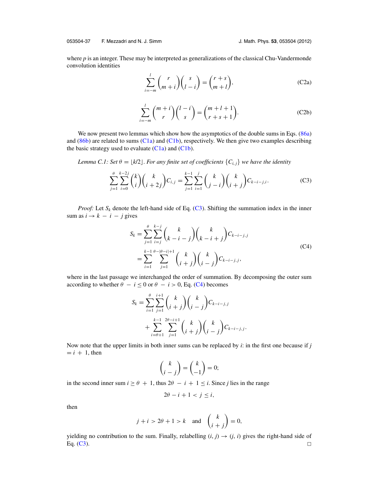<span id="page-38-0"></span>where *p* is an integer. These may be interpreted as generalizations of the classical Chu-Vandermonde convolution identities

$$
\sum_{i=-m}^{l} {r \choose m+i} {s \choose l-i} = {r+s \choose m+l},
$$
\n(C2a)

$$
\sum_{i=-m}^{l} {m+i \choose r} {l-i \choose s} = {m+l+1 \choose r+s+1}.
$$
 (C2b)

We now present two lemmas which show how the asymptotics of the double sums in Eqs. [\(86a\)](#page-19-0) and  $(86b)$  are related to sums  $(C1a)$  and  $(C1b)$ , respectively. We then give two examples describing the basic strategy used to evaluate  $(C1a)$  and  $(C1b)$ .

*Lemma C.1: Set*  $\theta = \lfloor k/2 \rfloor$ *. For any finite set of coefficients*  $\{C_{i,j}\}$  *we have the identity* 

$$
\sum_{j=1}^{\theta} \sum_{i=0}^{k-2j} {k \choose i} {k \choose i+2j} C_{i,j} = \sum_{j=1}^{k-1} \sum_{i=1}^{j} {k \choose j-i} {k \choose i+j} C_{k-i-j,i}.
$$
 (C3)

*Proof:* Let  $S_k$  denote the left-hand side of Eq. (C3). Shifting the summation index in the inner sum as  $i \rightarrow k - i - j$  gives

$$
S_k = \sum_{j=1}^{\theta} \sum_{i=j}^{k-j} {k \choose k-i-j} {k \choose k-i+j} C_{k-i-j,j}
$$
  
= 
$$
\sum_{i=1}^{k-1} \sum_{j=1}^{\theta-|\theta-i|+1} {k \choose i+j} {k \choose i-j} C_{k-i-j,j},
$$
 (C4)

where in the last passage we interchanged the order of summation. By decomposing the outer sum according to whether  $\theta - i \leq 0$  or  $\theta - i > 0$ , Eq. (C4) becomes

$$
S_k = \sum_{i=1}^{\theta} \sum_{j=1}^{i+1} {k \choose i+j} {k \choose i-j} C_{k-i-j,j}
$$
  
+ 
$$
\sum_{i=\theta+1}^{k-1} \sum_{j=1}^{2\theta-i+1} {k \choose i+j} {k \choose i-j} C_{k-i-j,j}.
$$

Now note that the upper limits in both inner sums can be replaced by *i*: in the first one because if *j*  $= i + 1$ , then

$$
\binom{k}{i-j} = \binom{k}{-1} = 0;
$$

in the second inner sum  $i \ge \theta + 1$ , thus  $2\theta - i + 1 \le i$ . Since *j* lies in the range

$$
2\theta - i + 1 < j \leq i
$$

then

$$
j + i > 2\theta + 1 > k \quad \text{and} \quad \binom{k}{i+j} = 0,
$$

yielding no contribution to the sum. Finally, relabelling  $(i, j) \rightarrow (j, i)$  gives the right-hand side of Eq. (C3).  $\Box$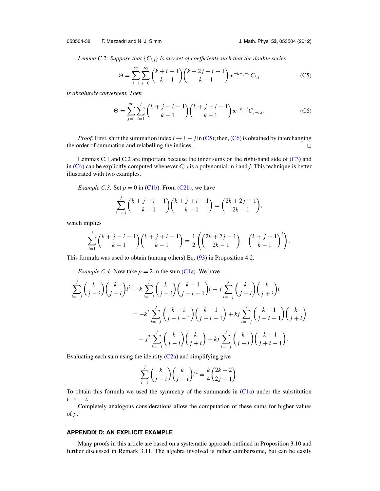<span id="page-39-0"></span>*Lemma C.2: Suppose that* {*Ci*, *<sup>j</sup>*} *is any set of coefficients such that the double series*

$$
\Theta = \sum_{j=1}^{\infty} \sum_{i=0}^{\infty} {k+i-1 \choose k-1} {k+2j+i-1 \choose k-1} w^{-k-j-i} C_{i,j}
$$
(C5)

*is absolutely convergent. Then*

$$
\Theta = \sum_{j=1}^{\infty} \sum_{i=1}^{j} {k+j-i-1 \choose k-1} {k+j+i-1 \choose k-1} w^{-k-j} C_{j-i,i}.
$$
 (C6)

*Proof:* First, shift the summation index  $i \rightarrow i - j$  in (C5); then, (C6) is obtained by interchanging the order of summation and relabelling the indices.  $\Box$ 

Lemmas C.1 and C.2 are important because the inner sums on the right-hand side of [\(C3\)](#page-38-0) and in (C6) can be explicitly computed whenever  $C_{i,j}$  is a polynomial in *i* and *j*. This technique is better illustrated with two examples.

*Example C.3:* Set  $p = 0$  in [\(C1b\)](#page-37-0). From [\(C2b\)](#page-38-0), we have

$$
\sum_{i=-j}^{j} {k+j-i-1 \choose k-1} {k+j+i-1 \choose k-1} = {2k+2j-1 \choose 2k-1},
$$

which implies

$$
\sum_{i=1}^{j} {k+j-i-1 \choose k-1} {k+j+i-1 \choose k-1} = \frac{1}{2} \left( {2k+2j-1 \choose 2k-1} - {k+j-1 \choose k-1}^2 \right).
$$

This formula was used to obtain (among others) Eq. [\(93\)](#page-21-0) in Proposition 4.2.

*Example C.4:* Now take  $p = 2$  in the sum [\(C1a\)](#page-37-0). We have

$$
\sum_{i=-j}^{j} {k \choose j-i} {k \choose j+i} i^2 = k \sum_{i=-j}^{j} {k \choose j-i} {k-1 \choose j+i-1} i - j \sum_{i=-j}^{j} {k \choose j-i} {k \choose j+i} i
$$
  
=  $-k^2 \sum_{i=-j}^{j} {k-1 \choose j-i-1} {k-1 \choose j+i-1} + kj \sum_{i=-j}^{j} {k-1 \choose j-i-1} {k \choose j+i} - j^2 \sum_{i=-j}^{j} {k \choose j-i} {k \choose j+i} + kj \sum_{i=-j}^{j} {k \choose j-i} {k-1 \choose j+i-1}.$ 

Evaluating each sum using the identity  $(C2a)$  and simplifying give

$$
\sum_{i=1}^{j} {k \choose j-i} {k \choose j+i} i^2 = \frac{k}{4} {2k-2 \choose 2j-1}.
$$

To obtain this formula we used the symmetry of the summands in [\(C1a\)](#page-37-0) under the substitution  $i \rightarrow -i$ .

Completely analogous considerations allow the computation of these sums for higher values of *p*.

#### **APPENDIX D: AN EXPLICIT EXAMPLE**

Many proofs in this article are based on a systematic approach outlined in Proposition 3.10 and further discussed in Remark 3.11. The algebra involved is rather cumbersome, but can be easily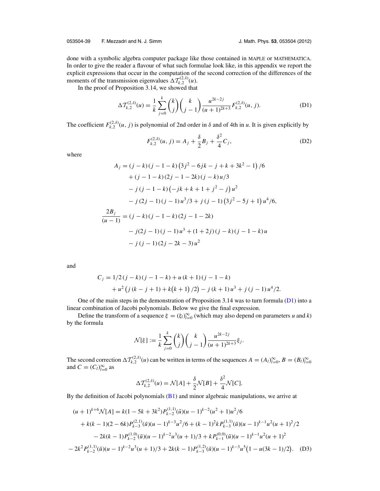<span id="page-40-0"></span>done with a symbolic algebra computer package like those contained in MAPLE or MATHEMATICA. In order to give the reader a flavour of what such formulae look like, in this appendix we report the explicit expressions that occur in the computation of the second correction of the differences of the moments of the transmission eigenvalues  $\Delta T_{k,2}^{(2,\delta)}(u)$ .

In the proof of Proposition 3.14, we showed that

$$
\Delta \mathcal{T}_{k,2}^{(2,\delta)}(u) = \frac{1}{k} \sum_{j=0}^{k} {k \choose j} {k \choose j-1} \frac{u^{2k-2j}}{(u+1)^{2k+3}} F_{k,2}^{(2,\delta)}(u, j). \tag{D1}
$$

The coefficient  $F_{k,2}^{(2,\delta)}(u, j)$  is polynomial of 2nd order in  $\delta$  and of 4th in *u*. It is given explicitly by

$$
F_{k,2}^{(2,\delta)}(u,j) = A_j + \frac{\delta}{2}B_j + \frac{\delta^2}{4}C_j,
$$
 (D2)

where

$$
A_j = (j - k)(j - 1 - k)(3j^2 - 6jk - j + k + 3k^2 - 1)/6
$$
  
+  $(j - 1 - k)(2j - 1 - 2k)(j - k)u/3$   
-  $j (j - 1 - k)(-jk + k + 1 + j^2 - j)u^2$   
-  $j (2j - 1)(j - 1)u^3/3 + j (j - 1) (3j^2 - 5j + 1)u^4/6,$   

$$
\frac{2B_j}{(u - 1)} = (j - k)(j - 1 - k)(2j - 1 - 2k)
$$
  
-  $j (2j - 1)(j - 1)u^3 + (1 + 2j)(j - k)(j - 1 - k)u$   
-  $j (j - 1) (2j - 2k - 3)u^2$ 

and

$$
C_j = 1/2(j-k)(j-1-k) + u(k+1)(j-1-k)
$$
  
+ 
$$
u^2(j(k-j+1) + k(k+1)/2) - j(k+1)u^3 + j(j-1)u^4/2.
$$

One of the main steps in the demonstration of Proposition 3.14 was to turn formula  $(D1)$  into a linear combination of Jacobi polynomials. Below we give the final expression.

Define the transform of a sequence  $\xi = (\xi_l)_{l=0}^{\infty}$  (which may also depend on parameters *u* and *k*) by the formula

$$
\mathcal{N}[\xi] := \frac{1}{k} \sum_{j=0}^{k} {k \choose j} {k \choose j-1} \frac{u^{2k-2j}}{(u+1)^{2k+3}} \xi_j.
$$

The second correction  $\Delta T_{k,2}^{(2,\delta)}(u)$  can be written in terms of the sequences  $A = (A_l)_{l=0}^{\infty}, B = (B_l)_{l=0}^{\infty}$ and  $C = (C_l)_{l=0}^{\infty}$  as

$$
\Delta \mathcal{T}_{k,2}^{(2,\delta)}(u) = \mathcal{N}[A] + \frac{\delta}{2} \mathcal{N}[B] + \frac{\delta^2}{4} \mathcal{N}[C].
$$

By the definition of Jacobi polynomials  $(B1)$  and minor algebraic manipulations, we arrive at

$$
(u+1)^{k+6}\mathcal{N}[A] = k(1-5k+3k^2)P_{k-2}^{(1,1)}(\tilde{u})(u-1)^{k-2}(u^2+1)u^2/6
$$
  
+k(k-1)(2-6k)P\_{k-3}^{(2,1)}(\tilde{u})(u-1)^{k-3}u^2/6+(k-1)^2kP\_{k-3}^{(1,1)}(\tilde{u})(u-1)^{k-1}u^2(u+1)^2/2  
-2k(k-1)P\_{k-2}^{(1,0)}(\tilde{u})(u-1)^{k-2}u^3(u+1)/3+kP\_{k-1}^{(0,0)}(\tilde{u})(u-1)^{k-1}u^2(u+1)^2  
-2k^2P\_{k-2}^{(1,1)}(\tilde{u})(u-1)^{k-2}u^3(u+1)/3+2k(k-1)P\_{k-3}^{(1,2)}(\tilde{u})(u-1)^{k-3}u^5(1-u(3k-1)/2). (D3)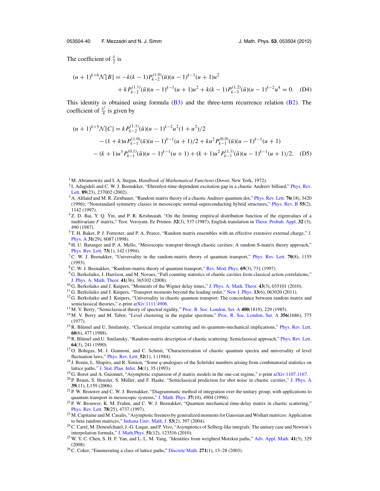<span id="page-41-0"></span>The coefficient of  $\frac{\delta}{2}$  is

$$
(u+1)^{k+6}\mathcal{N}[B] = -k(k-1)P_{k-2}^{(1,0)}(\tilde{u})(u-1)^{k-1}(u+1)u^2
$$
  
+  $kP_{k-2}^{(1,1)}(\tilde{u})(u-1)^{k-1}(u+1)u^2 + k(k-1)P_{k-3}^{(1,2)}(\tilde{u})(u-1)^{k-2}u^4 = 0.$  (D4)

This identity is obtained using formula  $(B3)$  and the three-term recurrence relation  $(B2)$ . The coefficient of  $\frac{\delta^2}{4}$  is given by

$$
(u+1)^{k+5}\mathcal{N}[C] = k P_{k-2}^{(1,1)}(\tilde{u})(u-1)^{k-2}u^2(1+u^2)/2
$$
  
 
$$
- (1+k)u P_{k-1}^{(1,0)}(\tilde{u})(u-1)^{k-1}(u+1)/2 + ku^2 P_{k-1}^{(0,0)}(\tilde{u})(u-1)^{k-1}(u+1)
$$
  
 
$$
- (k+1)u^3 P_{k-1}^{(0,1)}(\tilde{u})(u-1)^{k-1}(u+1) + (k+1)u^2 P_{k-1}^{(1,1)}(\tilde{u})(u-1)^{k-1}(u+1)/2.
$$
 (D5)

- <sup>2</sup> I. Adagideli and C. W. J. Beenakker, "Ehrenfest-time-dependent excitation gap in a chaotic Andreev billiard," [Phys. Rev.](http://dx.doi.org/10.1103/PhysRevLett.89.237002) [Lett.](http://dx.doi.org/10.1103/PhysRevLett.89.237002) **89**(23), 237002 (2002).
- <sup>3</sup> A. Altland and M. R. Zirnbauer, "Random matrix theory of a chaotic Andreev quantum dot," [Phys. Rev. Lett.](http://dx.doi.org/10.1103/PhysRevLett.76.3420) **76**(18), 3420 (1996); "Nonstandard symmetry classes in mesoscopic normal-superconducting hybrid structures," [Phys. Rev. B](http://dx.doi.org/10.1103/PhysRevB.55.1142) **55**(2), 1142 (1997).
- <sup>4</sup> Z. D. Bai, Y. Q. Yin, and P. R. Krishnaiah, "On the limiting empirical distribution function of the eigenvalues of a multivariate *F* matrix," Teor. Veroyatn. Ee Primen. **32**(3), 537 (1987); English translation in [Theor. Probab. Appl.](http://dx.doi.org/10.1137/1132067) **32** (3), 490 (1987).
- $5$  T. H. Baker, P. [J.](http://dx.doi.org/10.1088/0305-4470/31/29/002) Forrester, and P. A. Pearce, "Random matrix ensembles with an effective extensive external charge," J. [Phys. A](http://dx.doi.org/10.1088/0305-4470/31/29/002) **31**(29), 6087 (1998).
- <sup>6</sup> H. U. Baranger and P. A. Mello, "Mesoscopic transport through chaotic cavities: A random S-matrix theory approach," [Phys. Rev. Lett.](http://dx.doi.org/10.1103/PhysRevLett.73.142) **73**(1), 142 (1994).
- 7C. W. J. Beenakker, "Universality in the random-matrix theory of quantum transport," [Phys. Rev. Lett.](http://dx.doi.org/10.1103/PhysRevLett.70.1155) **70**(8), 1155 (1993).
- 8C. W. J. Beenakker, "Random-matrix theory of quantum transport," [Rev. Mod. Phys.](http://dx.doi.org/10.1103/RevModPhys.69.731) **69**(3), 731 (1997).
- <sup>9</sup> G. Berkolaiko, J. Harrison, and M. Novaes, "Full counting statistics of chaotic cavities from classical action correlations," [J. Phys. A: Math. Theor.](http://dx.doi.org/10.1088/1751-8113/41/36/365102) **41**(36), 365102 (2008).
- <sup>10</sup> G. Berkolaiko and J. Kuipers, "Moments of the Wigner delay times," [J. Phys. A: Math. Theor.](http://dx.doi.org/10.1088/1751-8113/43/3/035101) **43**(3), 035101 (2010).
- <sup>11</sup> G. Berkolaiko and J. Kuipers, "Transport moments beyond the leading order," [New J. Phys.](http://dx.doi.org/10.1088/1367-2630/13/6/063020) **13**(6), 063020 (2011).
- $12$  G. Berkolaiko and J. Kuipers, "Universality in chaotic quantum transport: The concordance between random matrix and semiclassical theories," e-print [arXiv:1111:4906.](http://arxiv.org/abs/1111:4906)
- <sup>13</sup> M. V. Berry, "Semiclassical theory of spectral rigidity," [Proc. R. Soc. London, Ser. A](http://dx.doi.org/10.1098/rspa.1985.0078) **400**(1819), 229 (1985).
- <sup>14</sup> M. V. Berry and M. Tabor, "Level clustering in the regular spectrum," [Proc. R. Soc. London, Ser. A](http://dx.doi.org/10.1098/rspa.1977.0140) **356**(1686), 375 (1977).
- $15$  R. Blumel and U. Smilansky, "Classical irregular scattering and its quantum-mechanical implications," [Phys. Rev. Lett.](http://dx.doi.org/10.1103/PhysRevLett.60.477) **60**(6), 477 (1988).
- <sup>16</sup> R. Blümel and U. Smilansky, "Random-matrix description of chaotic scattering: Semiclassical approach," [Phys. Rev. Lett.](http://dx.doi.org/10.1103/PhysRevLett.64.241) **64**(3), 241 (1990).
- <sup>17</sup> O. Bohigas, M. J. Giannoni, and C. Schmit, "Characterization of chaotic quantum spectra and universality of level fluctuation laws," [Phys. Rev. Lett.](http://dx.doi.org/10.1103/PhysRevLett.52.1) **52**(1), 1 (1984).
- <sup>18</sup> J. Bonin, L. Shapiro, and R. Simion, "Some *q*-analogues of the Schroder numbers arising from combinatorial statistics on ¨ lattice paths," [J. Stat. Plan. Infer.](http://dx.doi.org/10.1016/0378-3758(93)90032-2) **34**(1), 35 (1993).
- <sup>19</sup> G. Borot and A. Guionnet, "Asymptotic expansion of  $\beta$  matrix models in the one-cut regime," e-print [arXiv:1107.1167.](http://arxiv.org/abs/1107.1167)
- $^{20}$  P. Braun, S. Heusler, S. Müller, and F. Haake, "Semiclassical prediction for shot noise in chaotic cavities," [J. Phys. A](http://dx.doi.org/10.1088/0305-4470/39/11/L01) **39**(11), L159 (2006).
- <sup>21</sup> P. W. Brouwer and C. W. J. Beenakker, "Diagrammatic method of integration over the unitary group, with applications to quantum transport in mesoscopic systems," [J. Math. Phys.](http://dx.doi.org/10.1063/1.531667) **37**(10), 4904 (1996).
- $22 \hat{P}$ . W. Brouwer, K. M. Frahm, and C. W. J. Beenakker, "Quantum mechanical time-delay matrix in chaotic scattering," [Phys. Rev. Lett.](http://dx.doi.org/10.1103/PhysRevLett.78.4737) **78**(25), 4737 (1997).
- <sup>23</sup> M. Capitaine and M. Casalis, "Asymptotic freeness by generalized moments for Gaussian and Wishart matrices: Application to beta random matrices," [Indiana Univ. Math. J.](http://dx.doi.org/10.1512/iumj.2004.53.2325) **53**(2), 397 (2004).
- <sup>24</sup> C. Carré, M. Deneufchatel, J.-G. Luque, and P. Vivo, "Asymptotics of Selberg-like integrals: The unitary case and Newton's interpolation formula," [J. Math.Phys.](http://dx.doi.org/10.1063/1.3514535) **51**(12), 123516 (2010).
- 25W. Y. C. Chen, S. H. F. Yan, and L. L. M. Yang, "Identities from weighted Motzkin paths," [Adv. Appl. Math.](http://dx.doi.org/10.1016/j.aam.2004.11.007) **41**(3), 329 (2008).
- 26C. Coker, "Enumerating a class of lattice paths," [Discrete Math.](http://dx.doi.org/10.1016/S0012-365X(03)00037-2) **271**(1), 13–28 (2003).

<sup>&</sup>lt;sup>1</sup> M. Abramowitz and I. A. Stegun, *Handbook of Mathematical Functions* (Dover, New York, 1972).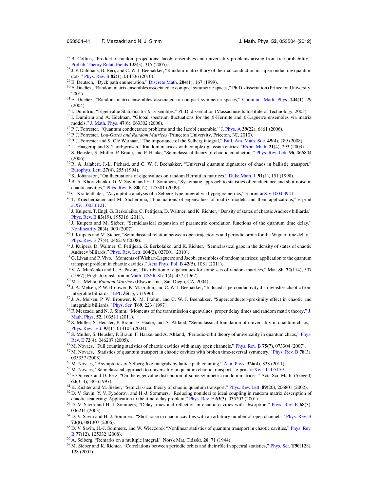- <span id="page-42-0"></span> $27$ B. Collins, "Product of random projections: Jacobi ensembles and universality problems arising from free probability," [Probab. Theory Relat. Fields](http://dx.doi.org/10.1007/s00440-005-0428-5) **133**(3), 315 (2005).
- $28$  J. P. Dahlhaus, B. Béri, and C. W. J. Beenakker, "Random-matrix thory of thermal conduction in superconducting quantum dots," [Phys. Rev. B](http://dx.doi.org/10.1103/PhysRevB.82.014536) **82**(1), 014536 (2010).
- <sup>29</sup> E. Deutsch, "Dyck path enumeration," [Discrete Math.](http://dx.doi.org/10.1016/S0012-365X(98)00371-9) **204**(1), 167 (1999).
- <sup>30</sup> E. Dueñez, "Random matrix ensembles associated to compact symmetric spaces," Ph.D. dissertation (Princeton University, 2001).
- <sup>31</sup> E. Dueñez, "Random matrix ensembles associated to compact symmetric spaces," [Commun. Math. Phys.](http://dx.doi.org/10.1007/s00220-003-0994-2) 244(1), 29 (2004).
- <sup>32</sup> I. Dumitriu, "Eigenvalue Statistics for β-Ensembles," Ph.D. dissertation (Massachusetts Institute of Technology, 2003).
- <sup>33</sup> I. Dumitriu and A. Edelman, "Global spectrum fluctuations for the β-Hermite and β-Laguerre ensembles via matrix models," [J. Math. Phys.](http://dx.doi.org/10.1063/1.2200144) **47**(6), 063302 (2006).
- <sup>34</sup> P. J. Forrester, "Quantum conductance problems and the Jacobi ensemble," [J. Phys. A](http://dx.doi.org/10.1088/0305-4470/39/22/004) **39**(22), 6861 (2006).
- <sup>35</sup> P. J. Forrester, *Log-Gases and Random Matrices* (Princeton University, Priceton, NJ, 2010).
- <sup>36</sup> P. J. Forrester and S. Ole Warnaar, "The importance of the Selberg integral," [Bull. Am. Math. Soc.](http://dx.doi.org/10.1090/S0273-0979-08-01221-4) **45**(4), 289 (2008).
- <sup>37</sup> U. Haagerup and S. Thorbjørnsen, "Random matrices with complex gaussian entries," [Expo. Math.](http://dx.doi.org/10.1016/S0723-0869(03)80036-1) **21**(4), 293 (2003).
- <sup>38</sup> S. Heusler, S. Müller, P. Braun, and F. Haake, "Semiclassical theory of chaotic conductors," [Phys. Rev. Lett.](http://dx.doi.org/10.1103/PhysRevLett.96.066804) 96, 066804 (2006).
- $39$  R. A. Jalabert, J.-L. Pichard, and C. W. J. Beenakker, "Universal quantum signatures of chaos in ballistic transport," [Europhys. Lett.](http://dx.doi.org/10.1209/0295-5075/27/4/001) **27**(4), 255 (1994).
- <sup>40</sup> K. Johansson, "On fluctuations of eigenvalues on random Hermitian matrices," [Duke Math. J.](http://dx.doi.org/10.1215/S0012-7094-98-09108-6) **91**(1), 151 (1998).
- 41B. A. Khoruzhenko, D. V. Savin, and H.-J. Sommers, "Systematic approach to statistics of conductance and shot-noise in chaotic cavities," [Phys. Rev. B.](http://dx.doi.org/10.1103/PhysRevB.80.125301) **80**(12), 125301 (2009).
- <sup>42</sup> C. Krattenthaler, "Asymptotic analysis of a Selberg-type integral via hypergeometrics," e-print [arXiv:1004.3941.](http://arxiv.org/abs/1004.3941)
- <sup>43</sup> T. Kriecherbauer and M. Shcherbina, "Fluctuations of eigenvalues of matrix models and their applications," e-print [arXiv:1003.6121.](http://arxiv.org/abs/1003.6121)
- <sup>44</sup> J. Kuipers, T. Engl, G. Berkolaiko, C. Petitjean, D. Waltner, and K. Richter, "Density of states of chaotic Andreev billiards," [Phys. Rev. B](http://dx.doi.org/10.1103/PhysRevB.83.195316) **83**(19), 195316 (2011).
- <sup>45</sup> J. Kuipers and M. Sieber, "Semiclassical expansion of parametric correlation functions of the quantum time delay," [Nonlinearity](http://dx.doi.org/10.1088/0951-7715/20/4/006) **20**(4), 909 (2007).
- <sup>46</sup> J. Kuipers and M. Sieber, "Semiclassical relation between open trajectories and periodic orbits for the Wigner time delay," [Phys. Rev. E](http://dx.doi.org/10.1103/PhysRevE.77.046219) **77**(4), 046219 (2008).
- <sup>47</sup> J. Kuipers, D. Waltner, C. Petitjean, G. Berkolaiko, and K. Richter, "Semiclassical gaps in the density of states of chaotic Andreev billiards," [Phys. Rev. Lett.](http://dx.doi.org/10.1103/PhysRevLett.104.027001) **104**(2), 027001 (2010).
- <sup>48</sup> G. Livan and P. Vivo, "Moments of Wishart-Laguerre and Jacobi ensembles of random matrices: application to the quantum transport problem in chaotic cavities," [Acta Phys. Pol. B](http://dx.doi.org/10.5506/APhysPolB.42.1081) **42**(5), 1081 (2011).
- <sup>49</sup> V. A. Marcenko and L. A. Pastur, "Distribution of eigenvalues for some sets of random matrices," Mat. Sb. ˇ **72**(114), 507 (1967); English translation in [Math. USSR-Sb.](http://dx.doi.org/10.1070/SM1967v001n04ABEH001994) **1**(4), 457 (1967).
- <sup>50</sup> M. L. Mehta, *Random Matrices* (Elsevier Inc., San Diego, CA, 2004).
- <sup>51</sup> J. A. Melsen, P. W. Brouwer, K. M. Frahm, and C. W. J. Beenakker, "Induced superconductivity distinguishes chaotic from integrable billiards," [EPL](http://dx.doi.org/10.1209/epl/i1996-00522-9) **35**(1), 7 (1996).
- <sup>52</sup> J. A. Melsen, P. W. Brouwer, K. M. Frahm, and C. W. J. Beenakker, "Superconductor-proximity effect in chaotic and integrable billiards," [Phys. Scr.](http://dx.doi.org/10.1088/0031-8949/1997/T69/045) **T69**, 223 (1997).
- <sup>53</sup> F. Mezzadri and N. [J.](http://dx.doi.org/10.1063/1.3644378) Simm, "Moments of the transmission eigenvalues, proper delay times and random matrix theory," J. [Math. Phys.](http://dx.doi.org/10.1063/1.3644378) **52**, 103511 (2011).
- 54 S. Müller, S. Heusler, P. Braun, F. Haake, and A. Altland, "Semiclassical foundation of universality in quantum chaos," [Phys. Rev. Lett.](http://dx.doi.org/10.1103/PhysRevLett.93.014103) **93**(1), 014103 (2004).
- <sup>55</sup> S. Müller, S. Heusler, P. Braun, F. Haake, and A. Altland, "Periodic-orbit theory of universality in quantum chaos," [Phys.](http://dx.doi.org/10.1103/PhysRevE.72.046207) [Rev. E](http://dx.doi.org/10.1103/PhysRevE.72.046207) **72**(4), 046207 (2005).
- <sup>56</sup> M. Novaes, "Full counting statistics of chaotic cavities with many open channels," [Phys. Rev. B](http://dx.doi.org/10.1103/PhysRevB.75.073304) **75**(7), 073304 (2007).
- <sup>57</sup> M. Novaes, "Statistics of quantum transport in chaotic cavities with broken time-reversal symmetry," [Phys. Rev. B](http://dx.doi.org/10.1103/PhysRevB.78.035337) **78**(3), 035337 (2008).
- <sup>58</sup> M. Novaes, "Asymptotics of Selberg-like integrals by lattice path counting," [Ann. Phys.](http://dx.doi.org/10.1016/j.aop.2010.09.007) **326**(4), 828 (2011).
- <sup>59</sup> M. Novaes, "Semiclassical approach to universality in quantum chaotic transport," e-print [arXiv:1111:5179.](http://arxiv.org/abs/1111:5179)
- <sup>60</sup> F. Oravecz and D. Petz, "On the eigenvalue distribution of some symmetric random matrices," Acta Sci. Math. (Szeged) **63**(3–4), 383 (1997).
- <sup>61</sup> K. Richter and M. Sieber, "Semiclassical theory of chaotic quantum transport," [Phys. Rev. Lett.](http://dx.doi.org/10.1103/PhysRevLett.89.206801) **89**(20), 206801 (2002).  $62$  D. V. Savin, Y. V. Fyodorov, and H.-J. Sommers, "Reducing nonideal to ideal coupling in random matrix description of
- chaotic scattering: Application to the time-delay problem," [Phys. Rev. E](http://dx.doi.org/10.1103/PhysRevE.63.035202) **63**(3), 035202 (2001). <sup>63</sup> D. V. Savin and H.-J. Sommers, "Delay times and reflection in chaotic cavities with absorption," [Phys. Rev. E](http://dx.doi.org/10.1103/PhysRevE.68.036211) **68**(3), 036211 (2003).
- <sup>64</sup> D. V. Savin and H.-J. Sommers, "Shot noise in chaotic cavities with an arbitrary number of open channels," [Phys. Rev. B](http://dx.doi.org/10.1103/PhysRevB.73.081307) **73**(8), 081307 (2006).
- <sup>65</sup> D. V. Savin, H.-J. Sommers, and W. Wieczorek "Nonlinear statistics of quantum transport in chaotic cavities," [Phys. Rev.](http://dx.doi.org/10.1103/PhysRevB.77.125332) [B](http://dx.doi.org/10.1103/PhysRevB.77.125332) **77**(12), 125332 (2008).
- <sup>66</sup> A. Selberg, "Remarks on a multiple integral," Norsk Mat. Tidsskr. **26**, 71 (1944).
- <sup>67</sup> M. Sieber and K. Richter, "Correlations between periodic orbits and their rôle in spectral statistics," [Phys. Scr.](http://dx.doi.org/10.1238/Physica.Topical.090a00128) **T90**(128), 128 (2001).